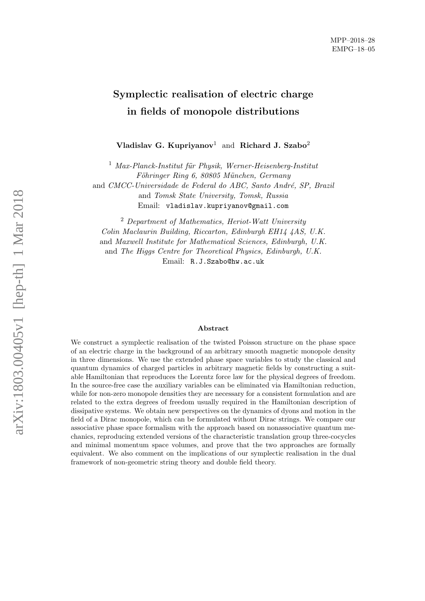# Symplectic realisation of electric charge in fields of monopole distributions

Vladislav G. Kupriyanov<sup>1</sup> and Richard J. Szabo<sup>2</sup>

 $1$  Max-Planck-Institut für Physik, Werner-Heisenberg-Institut Föhringer Ring 6, 80805 München, Germany and CMCC-Universidade de Federal do ABC, Santo André, SP, Brazil and Tomsk State University, Tomsk, Russia Email: vladislav.kupriyanov@gmail.com

 $2$  Department of Mathematics, Heriot-Watt University Colin Maclaurin Building, Riccarton, Edinburgh EH14 4AS, U.K. and Maxwell Institute for Mathematical Sciences, Edinburgh, U.K. and The Higgs Centre for Theoretical Physics, Edinburgh, U.K. Email: R.J.Szabo@hw.ac.uk

#### Abstract

We construct a symplectic realisation of the twisted Poisson structure on the phase space of an electric charge in the background of an arbitrary smooth magnetic monopole density in three dimensions. We use the extended phase space variables to study the classical and quantum dynamics of charged particles in arbitrary magnetic fields by constructing a suitable Hamiltonian that reproduces the Lorentz force law for the physical degrees of freedom. In the source-free case the auxiliary variables can be eliminated via Hamiltonian reduction, while for non-zero monopole densities they are necessary for a consistent formulation and are related to the extra degrees of freedom usually required in the Hamiltonian description of dissipative systems. We obtain new perspectives on the dynamics of dyons and motion in the field of a Dirac monopole, which can be formulated without Dirac strings. We compare our associative phase space formalism with the approach based on nonassociative quantum mechanics, reproducing extended versions of the characteristic translation group three-cocycles and minimal momentum space volumes, and prove that the two approaches are formally equivalent. We also comment on the implications of our symplectic realisation in the dual framework of non-geometric string theory and double field theory.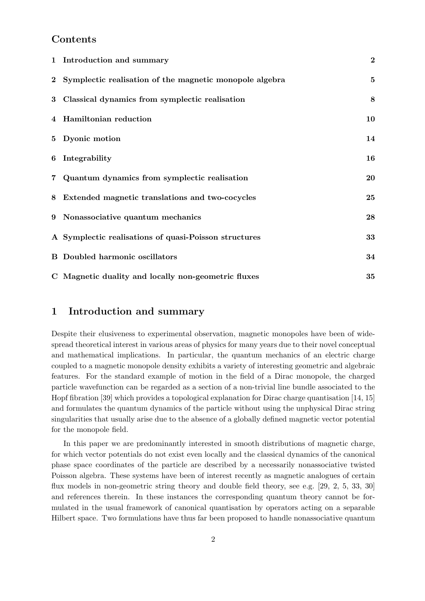### Contents

|             | 1 Introduction and summary                              | $\overline{2}$ |
|-------------|---------------------------------------------------------|----------------|
| $2^{\circ}$ | Symplectic realisation of the magnetic monopole algebra | $\bf{5}$       |
| 3           | Classical dynamics from symplectic realisation          | 8              |
|             | 4 Hamiltonian reduction                                 | 10             |
|             | 5 Dyonic motion                                         | 14             |
| 6           | Integrability                                           | 16             |
| 7           | Quantum dynamics from symplectic realisation            | 20             |
| 8           | Extended magnetic translations and two-cocycles         | 25             |
| 9           | Nonassociative quantum mechanics                        | 28             |
|             | A Symplectic realisations of quasi-Poisson structures   | 33             |
|             | <b>B</b> Doubled harmonic oscillators                   | 34             |
|             | C Magnetic duality and locally non-geometric fluxes     | 35             |

### <span id="page-1-0"></span>1 Introduction and summary

Despite their elusiveness to experimental observation, magnetic monopoles have been of widespread theoretical interest in various areas of physics for many years due to their novel conceptual and mathematical implications. In particular, the quantum mechanics of an electric charge coupled to a magnetic monopole density exhibits a variety of interesting geometric and algebraic features. For the standard example of motion in the field of a Dirac monopole, the charged particle wavefunction can be regarded as a section of a non-trivial line bundle associated to the Hopf fibration [\[39\]](#page-37-0) which provides a topological explanation for Dirac charge quantisation [\[14,](#page-36-0) [15\]](#page-36-1) and formulates the quantum dynamics of the particle without using the unphysical Dirac string singularities that usually arise due to the absence of a globally defined magnetic vector potential for the monopole field.

In this paper we are predominantly interested in smooth distributions of magnetic charge, for which vector potentials do not exist even locally and the classical dynamics of the canonical phase space coordinates of the particle are described by a necessarily nonassociative twisted Poisson algebra. These systems have been of interest recently as magnetic analogues of certain flux models in non-geometric string theory and double field theory, see e.g. [\[29,](#page-36-2) [2,](#page-35-0) [5,](#page-35-1) [33,](#page-37-1) [30\]](#page-36-3) and references therein. In these instances the corresponding quantum theory cannot be formulated in the usual framework of canonical quantisation by operators acting on a separable Hilbert space. Two formulations have thus far been proposed to handle nonassociative quantum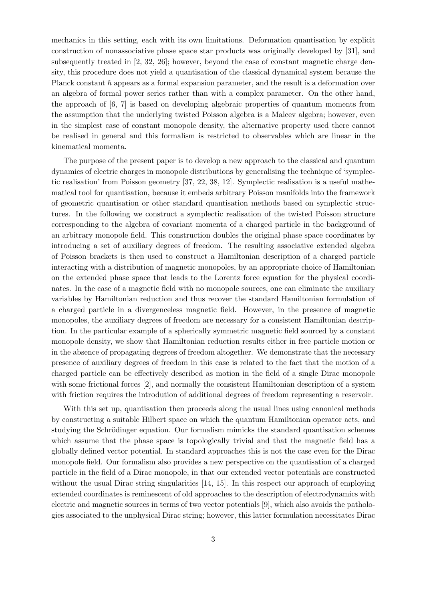mechanics in this setting, each with its own limitations. Deformation quantisation by explicit construction of nonassociative phase space star products was originally developed by [\[31\]](#page-36-4), and subsequently treated in [\[2,](#page-35-0) [32,](#page-37-2) [26\]](#page-36-5); however, beyond the case of constant magnetic charge density, this procedure does not yield a quantisation of the classical dynamical system because the Planck constant  $\hbar$  appears as a formal expansion parameter, and the result is a deformation over an algebra of formal power series rather than with a complex parameter. On the other hand, the approach of [\[6,](#page-35-2) [7\]](#page-35-3) is based on developing algebraic properties of quantum moments from the assumption that the underlying twisted Poisson algebra is a Malcev algebra; however, even in the simplest case of constant monopole density, the alternative property used there cannot be realised in general and this formalism is restricted to observables which are linear in the kinematical momenta.

The purpose of the present paper is to develop a new approach to the classical and quantum dynamics of electric charges in monopole distributions by generalising the technique of 'symplectic realisation' from Poisson geometry [\[37,](#page-37-3) [22,](#page-36-6) [38,](#page-37-4) [12\]](#page-36-7). Symplectic realisation is a useful mathematical tool for quantisation, because it embeds arbitrary Poisson manifolds into the framework of geometric quantisation or other standard quantisation methods based on symplectic structures. In the following we construct a symplectic realisation of the twisted Poisson structure corresponding to the algebra of covariant momenta of a charged particle in the background of an arbitrary monopole field. This construction doubles the original phase space coordinates by introducing a set of auxiliary degrees of freedom. The resulting associative extended algebra of Poisson brackets is then used to construct a Hamiltonian description of a charged particle interacting with a distribution of magnetic monopoles, by an appropriate choice of Hamiltonian on the extended phase space that leads to the Lorentz force equation for the physical coordinates. In the case of a magnetic field with no monopole sources, one can eliminate the auxiliary variables by Hamiltonian reduction and thus recover the standard Hamiltonian formulation of a charged particle in a divergenceless magnetic field. However, in the presence of magnetic monopoles, the auxiliary degrees of freedom are necessary for a consistent Hamiltonian description. In the particular example of a spherically symmetric magnetic field sourced by a constant monopole density, we show that Hamiltonian reduction results either in free particle motion or in the absence of propagating degrees of freedom altogether. We demonstrate that the necessary presence of auxiliary degrees of freedom in this case is related to the fact that the motion of a charged particle can be effectively described as motion in the field of a single Dirac monopole with some frictional forces [\[2\]](#page-35-0), and normally the consistent Hamiltonian description of a system with friction requires the introdution of additional degrees of freedom representing a reservoir.

With this set up, quantisation then proceeds along the usual lines using canonical methods by constructing a suitable Hilbert space on which the quantum Hamiltonian operator acts, and studying the Schrödinger equation. Our formalism mimicks the standard quantisation schemes which assume that the phase space is topologically trivial and that the magnetic field has a globally defined vector potential. In standard approaches this is not the case even for the Dirac monopole field. Our formalism also provides a new perspective on the quantisation of a charged particle in the field of a Dirac monopole, in that our extended vector potentials are constructed without the usual Dirac string singularities [\[14,](#page-36-0) [15\]](#page-36-1). In this respect our approach of employing extended coordinates is reminescent of old approaches to the description of electrodynamics with electric and magnetic sources in terms of two vector potentials [\[9\]](#page-35-4), which also avoids the pathologies associated to the unphysical Dirac string; however, this latter formulation necessitates Dirac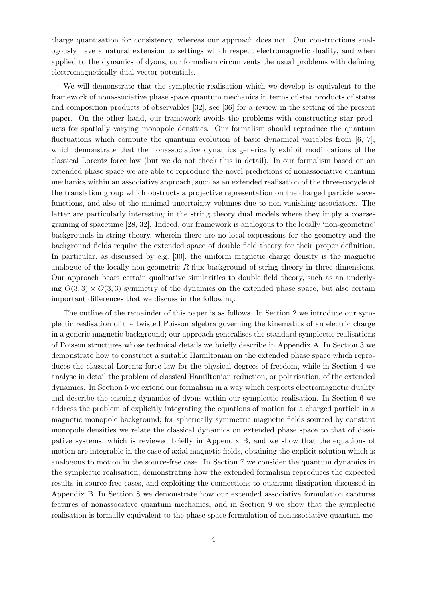charge quantisation for consistency, whereas our approach does not. Our constructions analogously have a natural extension to settings which respect electromagnetic duality, and when applied to the dynamics of dyons, our formalism circumvents the usual problems with defining electromagnetically dual vector potentials.

We will demonstrate that the symplectic realisation which we develop is equivalent to the framework of nonassociative phase space quantum mechanics in terms of star products of states and composition products of observables [\[32\]](#page-37-2), see [\[36\]](#page-37-5) for a review in the setting of the present paper. On the other hand, our framework avoids the problems with constructing star products for spatially varying monopole densities. Our formalism should reproduce the quantum fluctuations which compute the quantum evolution of basic dynamical variables from [\[6,](#page-35-2) [7\]](#page-35-3), which demonstrate that the nonassociative dynamics generically exhibit modifications of the classical Lorentz force law (but we do not check this in detail). In our formalism based on an extended phase space we are able to reproduce the novel predictions of nonassociative quantum mechanics within an associative approach, such as an extended realisation of the three-cocycle of the translation group which obstructs a projective representation on the charged particle wavefunctions, and also of the minimal uncertainty volumes due to non-vanishing associators. The latter are particularly interesting in the string theory dual models where they imply a coarsegraining of spacetime [\[28,](#page-36-8) [32\]](#page-37-2). Indeed, our framework is analogous to the locally 'non-geometric' backgrounds in string theory, wherein there are no local expressions for the geometry and the background fields require the extended space of double field theory for their proper definition. In particular, as discussed by e.g. [\[30\]](#page-36-3), the uniform magnetic charge density is the magnetic analogue of the locally non-geometric R-flux background of string theory in three dimensions. Our approach bears certain qualitative similarities to double field theory, such as an underlying  $O(3,3) \times O(3,3)$  symmetry of the dynamics on the extended phase space, but also certain important differences that we discuss in the following.

The outline of the remainder of this paper is as follows. In Section [2](#page-4-0) we introduce our symplectic realisation of the twisted Poisson algebra governing the kinematics of an electric charge in a generic magnetic background; our approach generalises the standard symplectic realisations of Poisson structures whose technical details we briefly describe in Appendix [A.](#page-32-0) In Section [3](#page-7-0) we demonstrate how to construct a suitable Hamiltonian on the extended phase space which reproduces the classical Lorentz force law for the physical degrees of freedom, while in Section [4](#page-9-0) we analyse in detail the problem of classical Hamiltonian reduction, or polarisation, of the extended dynamics. In Section [5](#page-13-0) we extend our formalism in a way which respects electromagnetic duality and describe the ensuing dynamics of dyons within our symplectic realisation. In Section [6](#page-15-0) we address the problem of explicitly integrating the equations of motion for a charged particle in a magnetic monopole background; for spherically symmetric magnetic fields sourced by constant monopole densities we relate the classical dynamics on extended phase space to that of dissipative systems, which is reviewed briefly in Appendix [B,](#page-33-0) and we show that the equations of motion are integrable in the case of axial magnetic fields, obtaining the explicit solution which is analogous to motion in the source-free case. In Section [7](#page-19-0) we consider the quantum dynamics in the symplectic realisation, demonstrating how the extended formalism reproduces the expected results in source-free cases, and exploiting the connections to quantum dissipation discussed in Appendix [B.](#page-33-0) In Section [8](#page-24-0) we demonstrate how our extended associative formulation captures features of nonassocative quantum mechanics, and in Section [9](#page-27-0) we show that the symplectic realisation is formally equivalent to the phase space formulation of nonassociative quantum me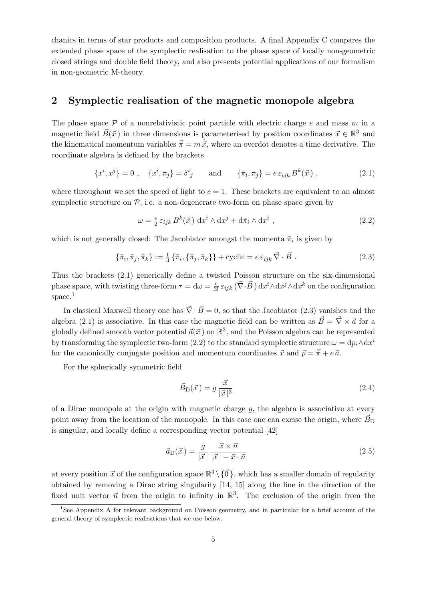chanics in terms of star products and composition products. A final Appendix [C](#page-34-0) compares the extended phase space of the symplectic realisation to the phase space of locally non-geometric closed strings and double field theory, and also presents potential applications of our formalism in non-geometric M-theory.

### <span id="page-4-0"></span>2 Symplectic realisation of the magnetic monopole algebra

The phase space  $P$  of a nonrelativistic point particle with electric charge e and mass m in a magnetic field  $\vec{B}(\vec{x})$  in three dimensions is parameterised by position coordinates  $\vec{x} \in \mathbb{R}^3$  and the kinematical momentum variables  $\vec{\pi} = m \dot{\vec{x}}$ , where an overdot denotes a time derivative. The coordinate algebra is defined by the brackets

<span id="page-4-1"></span>
$$
\{x^i, x^j\} = 0 \; , \quad \{x^i, \bar{\pi}_j\} = \delta^i{}_j \qquad \text{and} \qquad \{\bar{\pi}_i, \bar{\pi}_j\} = e \,\varepsilon_{ijk} \, B^k(\vec{x}) \; , \tag{2.1}
$$

where throughout we set the speed of light to  $c = 1$ . These brackets are equivalent to an almost symplectic structure on  $P$ , i.e. a non-degenerate two-form on phase space given by

<span id="page-4-4"></span>
$$
\omega = \frac{e}{2} \varepsilon_{ijk} B^k(\vec{x}) \, dx^i \wedge dx^j + d\bar{\pi}_i \wedge dx^i , \qquad (2.2)
$$

which is not generally closed: The Jacobiator amongst the momenta  $\bar{\pi}_i$  is given by

<span id="page-4-3"></span>
$$
\{\bar{\pi}_i, \bar{\pi}_j, \bar{\pi}_k\} := \frac{1}{3} \{\bar{\pi}_i, \{\bar{\pi}_j, \bar{\pi}_k\}\} + \text{cyclic} = e \,\varepsilon_{ijk} \,\vec{\nabla} \cdot \vec{B} \,. \tag{2.3}
$$

Thus the brackets [\(2.1\)](#page-4-1) generically define a twisted Poisson structure on the six-dimensional phase space, with twisting three-form  $\tau = d\omega = \frac{e}{3!} \epsilon_{ijk} (\vec{\nabla} \cdot \vec{B}) d\vec{x}^i \wedge d\vec{x}^j \wedge d\vec{x}^k$  on the configuration space.<sup>[1](#page-4-2)</sup>

In classical Maxwell theory one has  $\vec{\nabla} \cdot \vec{B} = 0$ , so that the Jacobiator [\(2.3\)](#page-4-3) vanishes and the algebra [\(2.1\)](#page-4-1) is associative. In this case the magnetic field can be written as  $\vec{B} = \vec{\nabla} \times \vec{a}$  for a globally defined smooth vector potential  $\vec{a}(\vec{x})$  on  $\mathbb{R}^3$ , and the Poisson algebra can be represented by transforming the symplectic two-form [\(2.2\)](#page-4-4) to the standard symplectic structure  $\omega = dp_i \wedge dx^i$ for the canonically conjugate position and momentum coordinates  $\vec{x}$  and  $\vec{p} = \vec{\bar{\pi}} + e \vec{a}$ .

For the spherically symmetric field

<span id="page-4-5"></span>
$$
\vec{B}_{\mathcal{D}}(\vec{x}) = g \frac{\vec{x}}{|\vec{x}|^3} \tag{2.4}
$$

of a Dirac monopole at the origin with magnetic charge  $q$ , the algebra is associative at every point away from the location of the monopole. In this case one can excise the origin, where  $\vec{B}_D$ is singular, and locally define a corresponding vector potential [\[42\]](#page-37-6)

<span id="page-4-6"></span>
$$
\vec{a}_{\text{D}}(\vec{x}) = \frac{g}{|\vec{x}|} \frac{\vec{x} \times \vec{n}}{|\vec{x}| - \vec{x} \cdot \vec{n}} \tag{2.5}
$$

at every position  $\vec{x}$  of the configuration space  $\mathbb{R}^3 \setminus {\{\vec{0}\}}$ , which has a smaller domain of regularity obtained by removing a Dirac string singularity [\[14,](#page-36-0) [15\]](#page-36-1) along the line in the direction of the fixed unit vector  $\vec{n}$  from the origin to infinity in  $\mathbb{R}^3$ . The exclusion of the origin from the

<span id="page-4-2"></span><sup>&</sup>lt;sup>1</sup>See [A](#page-32-0)ppendix A for relevant background on Poisson geometry, and in particular for a brief account of the general theory of symplectic realisations that we use below.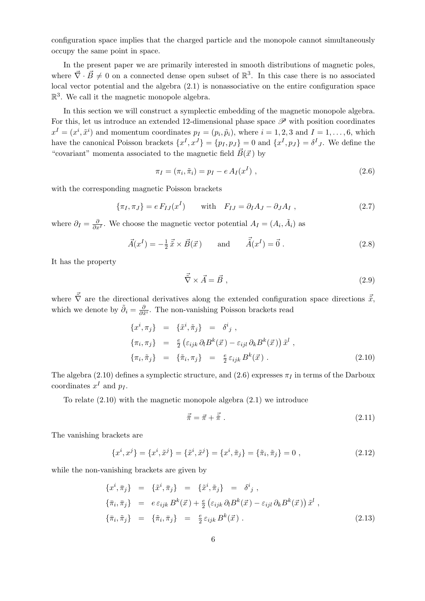configuration space implies that the charged particle and the monopole cannot simultaneously occupy the same point in space.

In the present paper we are primarily interested in smooth distributions of magnetic poles, where  $\vec{\nabla} \cdot \vec{B} \neq 0$  on a connected dense open subset of  $\mathbb{R}^3$ . In this case there is no associated local vector potential and the algebra  $(2.1)$  is nonassociative on the entire configuration space  $\mathbb{R}^3$ . We call it the magnetic monopole algebra.

In this section we will construct a symplectic embedding of the magnetic monopole algebra. For this, let us introduce an extended 12-dimensional phase space  $\mathscr P$  with position coordinates  $x^I = (x^i, \tilde{x}^i)$  and momentum coordinates  $p_I = (p_i, \tilde{p}_i)$ , where  $i = 1, 2, 3$  and  $I = 1, \ldots, 6$ , which have the canonical Poisson brackets  $\{x^I, x^J\} = \{p_I, p_J\} = 0$  and  $\{x^I, p_J\} = \delta^I J$ . We define the "covariant" momenta associated to the magnetic field  $\vec{B}(\vec{x})$  by

<span id="page-5-1"></span>
$$
\pi_I = (\pi_i, \tilde{\pi}_i) = p_I - e A_I(x^I) \tag{2.6}
$$

with the corresponding magnetic Poisson brackets

<span id="page-5-5"></span>
$$
\{\pi_I, \pi_J\} = e F_{IJ}(x^I) \quad \text{with} \quad F_{IJ} = \partial_I A_J - \partial_J A_I , \qquad (2.7)
$$

where  $\partial_I = \frac{\partial}{\partial x^I}$ . We choose the magnetic vector potential  $A_I = (A_i, \tilde{A}_i)$  as

<span id="page-5-3"></span>
$$
\vec{A}(x^{I}) = -\frac{1}{2}\vec{\tilde{x}} \times \vec{B}(\vec{x}) \quad \text{and} \quad \vec{\tilde{A}}(x^{I}) = \vec{0} \ . \tag{2.8}
$$

It has the property

<span id="page-5-4"></span>
$$
\vec{\tilde{\nabla}} \times \vec{A} = \vec{B} \tag{2.9}
$$

where  $\vec{\tilde{\nabla}}$  are the directional derivatives along the extended configuration space directions  $\vec{\tilde{x}}$ , which we denote by  $\tilde{\partial}_i = \frac{\partial}{\partial \tilde{\partial}}$  $\frac{\partial}{\partial \tilde{x}^i}$ . The non-vanishing Poisson brackets read

<span id="page-5-0"></span>
$$
\begin{aligned}\n\{\dot{x}^i, \pi_j\} &= \{\tilde{x}^i, \tilde{\pi}_j\} &= \delta^i{}_j, \\
\{\pi_i, \pi_j\} &= \frac{e}{2} \left(\varepsilon_{ijk} \partial_l B^k(\vec{x}) - \varepsilon_{ijl} \partial_k B^k(\vec{x})\right) \tilde{x}^l, \\
\{\pi_i, \tilde{\pi}_j\} &= \{\tilde{\pi}_i, \pi_j\} &= \frac{e}{2} \varepsilon_{ijk} B^k(\vec{x}).\n\end{aligned} \tag{2.10}
$$

The algebra [\(2.10\)](#page-5-0) defines a symplectic structure, and [\(2.6\)](#page-5-1) expresses  $\pi_I$  in terms of the Darboux coordinates  $x^I$  and  $p_I$ .

To relate [\(2.10\)](#page-5-0) with the magnetic monopole algebra [\(2.1\)](#page-4-1) we introduce

$$
\vec{\pi} = \vec{\pi} + \vec{\tilde{\pi}} \tag{2.11}
$$

The vanishing brackets are

<span id="page-5-6"></span>
$$
\{x^i, x^j\} = \{\tilde{x}^i, \tilde{x}^j\} = \{\tilde{x}^i, \tilde{x}^j\} = \{\tilde{\pi}_i, \tilde{\pi}_j\} = \{\tilde{\pi}_i, \tilde{\pi}_j\} = 0,
$$
\n(2.12)

while the non-vanishing brackets are given by

<span id="page-5-2"></span>
$$
\begin{aligned}\n\{\bar{x}^i, \bar{\pi}_j\} &= \{\tilde{x}^i, \bar{\pi}_j\} &= \{\tilde{x}^i, \tilde{\pi}_j\} &= \delta^i{}_j, \\
\{\bar{\pi}_i, \bar{\pi}_j\} &= e \varepsilon_{ijk} B^k(\vec{x}) + \frac{e}{2} \left(\varepsilon_{ijk} \partial_l B^k(\vec{x}) - \varepsilon_{ijl} \partial_k B^k(\vec{x})\right) \tilde{x}^l, \\
\{\bar{\pi}_i, \tilde{\pi}_j\} &= \{\tilde{\pi}_i, \bar{\pi}_j\} &= \frac{e}{2} \varepsilon_{ijk} B^k(\vec{x}).\n\end{aligned} \tag{2.13}
$$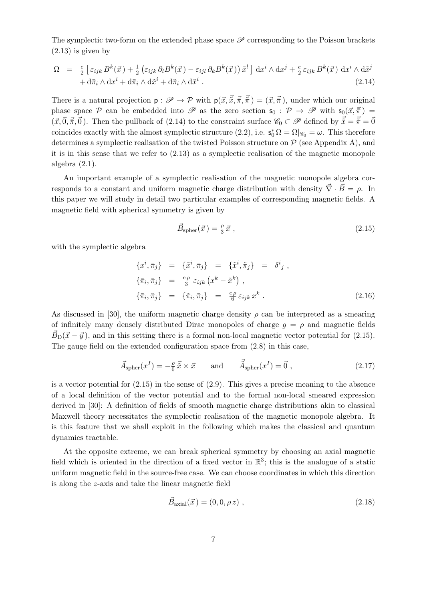The symplectic two-form on the extended phase space  $\mathscr P$  corresponding to the Poisson brackets  $(2.13)$  is given by

<span id="page-6-0"></span>
$$
\Omega = \frac{e}{2} \left[ \varepsilon_{ijk} B^k(\vec{x}) + \frac{1}{2} \left( \varepsilon_{ijk} \partial_l B^k(\vec{x}) - \varepsilon_{ijl} \partial_k B^k(\vec{x}) \right) \tilde{x}^l \right] dx^i \wedge dx^j + \frac{e}{2} \varepsilon_{ijk} B^k(\vec{x}) dx^i \wedge d\tilde{x}^j
$$
  
 
$$
+ d\bar{\pi}_i \wedge dx^i + d\bar{\pi}_i \wedge d\tilde{x}^i + d\tilde{\pi}_i \wedge d\tilde{x}^i .
$$
 (2.14)

There is a natural projection  $p : \mathscr{P} \to \mathcal{P}$  with  $p(\vec{x}, \vec{\tilde{x}}, \vec{\tilde{\pi}}, \vec{\tilde{\pi}}) = (\vec{x}, \vec{\tilde{\pi}})$ , under which our original phase space P can be embedded into P as the zero section  $s_0 : \mathcal{P} \to \mathcal{P}$  with  $s_0(\vec{x}, \vec{\pi}) =$  $({\vec x}, {\vec 0}, {\vec \pi}, {\vec 0})$ . Then the pullback of [\(2.14\)](#page-6-0) to the constraint surface  $\mathscr{C}_0 \subset \mathscr{P}$  defined by  ${\vec x} = {\vec \pi} = {\vec 0}$ coincides exactly with the almost symplectic structure  $(2.2)$ , i.e.  $s_0^* \Omega = \Omega |_{\mathscr{C}_0} = \omega$ . This therefore determines a symplectic realisation of the twisted Poisson structure on  $P$  (see Appendix [A\)](#page-32-0), and it is in this sense that we refer to [\(2.13\)](#page-5-2) as a symplectic realisation of the magnetic monopole algebra  $(2.1)$ .

An important example of a symplectic realisation of the magnetic monopole algebra corresponds to a constant and uniform magnetic charge distribution with density  $\vec{\nabla} \cdot \vec{B} = \rho$ . In this paper we will study in detail two particular examples of corresponding magnetic fields. A magnetic field with spherical symmetry is given by

<span id="page-6-1"></span>
$$
\vec{B}_{\text{spher}}(\vec{x}) = \frac{\rho}{3}\,\vec{x} \tag{2.15}
$$

with the symplectic algebra

<span id="page-6-4"></span>
$$
\begin{aligned}\n\{\bar{x}^i, \bar{\pi}_j\} &= \{\tilde{x}^i, \bar{\pi}_j\} &= \{\tilde{x}^i, \tilde{\pi}_j\} &= \delta^i{}_j, \\
\{\bar{\pi}_i, \bar{\pi}_j\} &= \frac{e\rho}{3} \varepsilon_{ijk} (x^k - \tilde{x}^k) , \\
\{\bar{\pi}_i, \tilde{\pi}_j\} &= \{\tilde{\pi}_i, \bar{\pi}_j\} &= \frac{e\rho}{6} \varepsilon_{ijk} x^k .\n\end{aligned}
$$
\n(2.16)

As discussed in [\[30\]](#page-36-3), the uniform magnetic charge density  $\rho$  can be interpreted as a smearing of infinitely many densely distributed Dirac monopoles of charge  $g = \rho$  and magnetic fields  $\vec{B}_{\text{D}}(\vec{x} - \vec{y})$ , and in this setting there is a formal non-local magnetic vector potential for [\(2.15\)](#page-6-1). The gauge field on the extended configuration space from [\(2.8\)](#page-5-3) in this case,

<span id="page-6-3"></span>
$$
\vec{A}_{\text{spher}}(x^I) = -\frac{\rho}{6}\vec{x} \times \vec{x} \quad \text{and} \quad \vec{\tilde{A}}_{\text{spher}}(x^I) = \vec{0} \tag{2.17}
$$

is a vector potential for [\(2.15\)](#page-6-1) in the sense of [\(2.9\)](#page-5-4). This gives a precise meaning to the absence of a local definition of the vector potential and to the formal non-local smeared expression derived in [\[30\]](#page-36-3): A definition of fields of smooth magnetic charge distributions akin to classical Maxwell theory necessitates the symplectic realisation of the magnetic monopole algebra. It is this feature that we shall exploit in the following which makes the classical and quantum dynamics tractable.

At the opposite extreme, we can break spherical symmetry by choosing an axial magnetic field which is oriented in the direction of a fixed vector in  $\mathbb{R}^3$ ; this is the analogue of a static uniform magnetic field in the source-free case. We can choose coordinates in which this direction is along the z-axis and take the linear magnetic field

<span id="page-6-2"></span>
$$
\vec{B}_{\text{axial}}(\vec{x}) = (0, 0, \rho z) , \qquad (2.18)
$$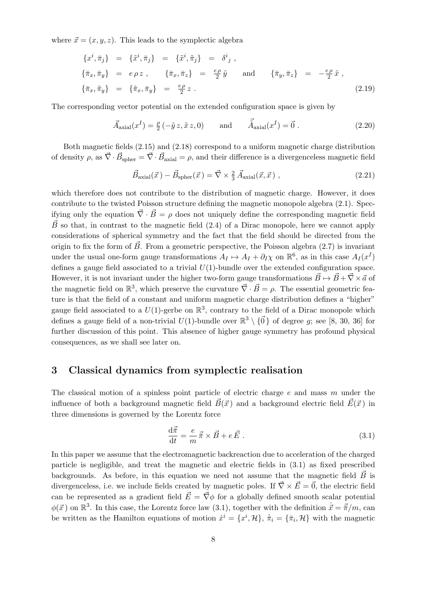where  $\vec{x} = (x, y, z)$ . This leads to the symplectic algebra

$$
\begin{aligned}\n\{\bar{x}^i, \bar{\pi}_j\} &= \{\tilde{x}^i, \bar{\pi}_j\} &= \{\tilde{x}^i, \tilde{\pi}_j\} &= \delta^i{}_j \;,\n\{\bar{\pi}_x, \bar{\pi}_y\} &= e \, \rho \, z \;,\n\{\bar{\pi}_x, \bar{\pi}_z\} &= \frac{e \, \rho}{2} \, \tilde{y} \quad \text{and} \quad \{\bar{\pi}_y, \bar{\pi}_z\} &= -\frac{e \, \rho}{2} \, \tilde{x} \;,\n\{\bar{\pi}_x, \tilde{\pi}_y\} &= \{\tilde{\pi}_x, \bar{\pi}_y\} &= \frac{e \, \rho}{2} \, z \;.\n\end{aligned}
$$
\n(2.19)

The corresponding vector potential on the extended configuration space is given by

<span id="page-7-2"></span>
$$
\vec{A}_{\text{axial}}(x^I) = \frac{\rho}{2} \left( -\tilde{y} z, \tilde{x} z, 0 \right) \quad \text{and} \quad \vec{\tilde{A}}_{\text{axial}}(x^I) = \vec{0} \,. \tag{2.20}
$$

Both magnetic fields [\(2.15\)](#page-6-1) and [\(2.18\)](#page-6-2) correspond to a uniform magnetic charge distribution of density  $\rho$ , as  $\vec{\nabla} \cdot \vec{B}_{\text{spher}} = \vec{\nabla} \cdot \vec{B}_{\text{axial}} = \rho$ , and their difference is a divergenceless magnetic field

$$
\vec{B}_{\text{axial}}(\vec{x}) - \vec{B}_{\text{spher}}(\vec{x}) = \vec{\nabla} \times \frac{2}{3} \vec{A}_{\text{axial}}(\vec{x}, \vec{x}) , \qquad (2.21)
$$

which therefore does not contribute to the distribution of magnetic charge. However, it does contribute to the twisted Poisson structure defining the magnetic monopole algebra [\(2.1\)](#page-4-1). Specifying only the equation  $\vec{\nabla} \cdot \vec{B} = \rho$  does not uniquely define the corresponding magnetic field  $\hat{B}$  so that, in contrast to the magnetic field [\(2.4\)](#page-4-5) of a Dirac monopole, here we cannot apply considerations of spherical symmetry and the fact that the field should be directed from the origin to fix the form of  $\vec{B}$ . From a geometric perspective, the Poisson algebra [\(2.7\)](#page-5-5) is invariant under the usual one-form gauge transformations  $A_I \mapsto A_I + \partial_I \chi$  on  $\mathbb{R}^6$ , as in this case  $A_I(x^I)$ defines a gauge field associated to a trivial  $U(1)$ -bundle over the extended configuration space. However, it is not invariant under the higher two-form gauge transformations  $\vec{B} \mapsto \vec{B} + \vec{\nabla} \times \vec{a}$  of the magnetic field on  $\mathbb{R}^3$ , which preserve the curvature  $\vec{\nabla} \cdot \vec{B} = \rho$ . The essential geometric feature is that the field of a constant and uniform magnetic charge distribution defines a "higher" gauge field associated to a  $U(1)$ -gerbe on  $\mathbb{R}^3$ , contrary to the field of a Dirac monopole which defines a gauge field of a non-trivial  $U(1)$ -bundle over  $\mathbb{R}^3 \setminus {\{\vec{0}\}}$  of degree g; see [\[8,](#page-35-5) [30,](#page-36-3) [36\]](#page-37-5) for further discussion of this point. This absence of higher gauge symmetry has profound physical consequences, as we shall see later on.

#### <span id="page-7-0"></span>3 Classical dynamics from symplectic realisation

The classical motion of a spinless point particle of electric charge  $e$  and mass  $m$  under the influence of both a background magnetic field  $\vec{B}(\vec{x})$  and a background electric field  $\vec{E}(\vec{x})$  in three dimensions is governed by the Lorentz force

<span id="page-7-1"></span>
$$
\frac{\mathrm{d}\vec{\pi}}{\mathrm{d}t} = \frac{e}{m}\,\vec{\pi}\times\vec{B} + e\,\vec{E} \tag{3.1}
$$

In this paper we assume that the electromagnetic backreaction due to acceleration of the charged particle is negligible, and treat the magnetic and electric fields in [\(3.1\)](#page-7-1) as fixed prescribed backgrounds. As before, in this equation we need not assume that the magnetic field  $\vec{B}$  is divergenceless, i.e. we include fields created by magnetic poles. If  $\vec{\nabla} \times \vec{E} = \vec{0}$ , the electric field can be represented as a gradient field  $\vec{E} = \vec{\nabla}\phi$  for a globally defined smooth scalar potential  $\phi(\vec{x})$  on  $\mathbb{R}^3$ . In this case, the Lorentz force law [\(3.1\)](#page-7-1), together with the definition  $\dot{\vec{x}} = \vec{\pi}/m$ , can be written as the Hamilton equations of motion  $\dot{x}^i = \{x^i, \mathcal{H}\}, \dot{\bar{\pi}}_i = \{\bar{\pi}_i, \mathcal{H}\}\$  with the magnetic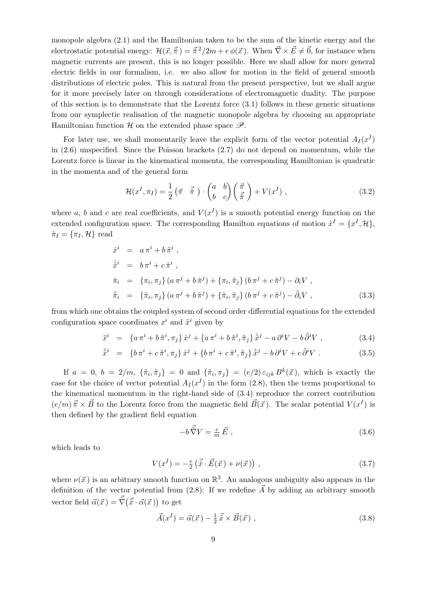monopole algebra [\(2.1\)](#page-4-1) and the Hamiltonian taken to be the sum of the kinetic energy and the electrostatic potential energy:  $\mathcal{H}(\vec{x}, \vec{\pi}) = \vec{\pi}^2/2m + e\phi(\vec{x})$ . When  $\vec{\nabla} \times \vec{E} \neq \vec{0}$ , for instance when magnetic currents are present, this is no longer possible. Here we shall allow for more general electric fields in our formalism, i.e. we also allow for motion in the field of general smooth distributions of electric poles. This is natural from the present perspective, but we shall argue for it more precisely later on through considerations of electromagnetic duality. The purpose of this section is to demonstrate that the Lorentz force  $(3.1)$  follows in these generic situations from our symplectic realisation of the magnetic monopole algebra by choosing an appropriate Hamiltonian function  $\mathcal H$  on the extended phase space  $\mathscr P$ .

For later use, we shall momentarily leave the explicit form of the vector potential  $A_I(x^I)$ in [\(2.6\)](#page-5-1) unspecified. Since the Poisson brackets [\(2.7\)](#page-5-5) do not depend on momentum, while the Lorentz force is linear in the kinematical momenta, the corresponding Hamiltonian is quadratic in the momenta and of the general form

<span id="page-8-1"></span>
$$
\mathcal{H}(x^I, \pi_I) = \frac{1}{2} \begin{pmatrix} \vec{\pi} & \vec{\pi} \end{pmatrix} \cdot \begin{pmatrix} a & b \\ b & c \end{pmatrix} \begin{pmatrix} \vec{\pi} \\ \vec{\pi} \end{pmatrix} + V(x^I) , \qquad (3.2)
$$

where a, b and c are real coefficients, and  $V(x^I)$  is a smooth potential energy function on the extended configuration space. The corresponding Hamilton equations of motion  $\dot{x}^I = \{x^I, \mathcal{H}\},$  $\dot{\pi}_I = {\pi_I, \mathcal{H}}$  read

<span id="page-8-2"></span>
$$
\dot{x}^{i} = a\pi^{i} + b\tilde{\pi}^{i} ,
$$
\n
$$
\dot{x}^{i} = b\pi^{i} + c\tilde{\pi}^{i} ,
$$
\n
$$
\dot{\pi}_{i} = \{\pi_{i}, \pi_{j}\} (a\pi^{j} + b\tilde{\pi}^{j}) + \{\pi_{i}, \tilde{\pi}_{j}\} (b\pi^{j} + c\tilde{\pi}^{j}) - \partial_{i}V ,
$$
\n
$$
\dot{\tilde{\pi}}_{i} = \{\tilde{\pi}_{i}, \pi_{j}\} (a\pi^{j} + b\tilde{\pi}^{j}) + \{\tilde{\pi}_{i}, \tilde{\pi}_{j}\} (b\pi^{j} + c\tilde{\pi}^{j}) - \tilde{\partial}_{i}V ,
$$
\n(3.3)

from which one obtains the coupled system of second order differential equations for the extended configuration space coordinates  $x^i$  and  $\tilde{x}^i$  given by

<span id="page-8-0"></span>
$$
\ddot{x}^{i} = \{a\,\pi^{i} + b\,\tilde{\pi}^{i}, \pi_{j}\}\,\dot{x}^{j} + \{a\,\pi^{i} + b\,\tilde{\pi}^{i}, \tilde{\pi}_{j}\}\,\dot{\tilde{x}}^{j} - a\,\partial^{i}V - b\,\tilde{\partial}^{i}V\,,\tag{3.4}
$$

$$
\ddot{\tilde{x}}^i = \{ b \pi^i + c \tilde{\pi}^i, \pi_j \} \dot{x}^j + \{ b \pi^i + c \tilde{\pi}^i, \tilde{\pi}_j \} \dot{\tilde{x}}^j - b \partial^i V + c \tilde{\partial}^i V . \tag{3.5}
$$

If  $a = 0, b = 2/m, {\tilde{\pi}}_i, {\tilde{\pi}}_j$  = 0 and  ${\tilde{\pi}}_i, {\pi}_j$  =  $(e/2) \varepsilon_{ijk} B^k(\vec{x})$ , which is exactly the case for the choice of vector potential  $A_I(x^I)$  in the form [\(2.8\)](#page-5-3), then the terms proportional to the kinematical momentum in the right-hand side of [\(3.4\)](#page-8-0) reproduce the correct contribution  $(e/m) \vec{\pi} \times \vec{B}$  to the Lorentz force from the magnetic field  $\vec{B}(\vec{x})$ . The scalar potential  $V(x^{I})$  is then defined by the gradient field equation

$$
-b\vec{\tilde{\nabla}}V = \frac{e}{m}\vec{E},\qquad(3.6)
$$

which leads to

<span id="page-8-4"></span>
$$
V(x^{I}) = -\frac{e}{2} \left( \vec{\tilde{x}} \cdot \vec{E}(\vec{x}) + \nu(\vec{x}) \right) , \qquad (3.7)
$$

where  $\nu(\vec{x})$  is an arbitrary smooth function on  $\mathbb{R}^3$ . An analogous ambiguity also appears in the definition of the vector potential from [\(2.8\)](#page-5-3): If we redefine  $\vec{A}$  by adding an arbitrary smooth vector field  $\vec{\alpha}(\vec{x}) = \vec{\nabla}(\vec{\tilde{x}} \cdot \vec{\alpha}(\vec{x}))$  to get

<span id="page-8-3"></span>
$$
\vec{A}(x^I) = \vec{\alpha}(\vec{x}) - \frac{1}{2}\vec{\tilde{x}} \times \vec{B}(\vec{x}), \qquad (3.8)
$$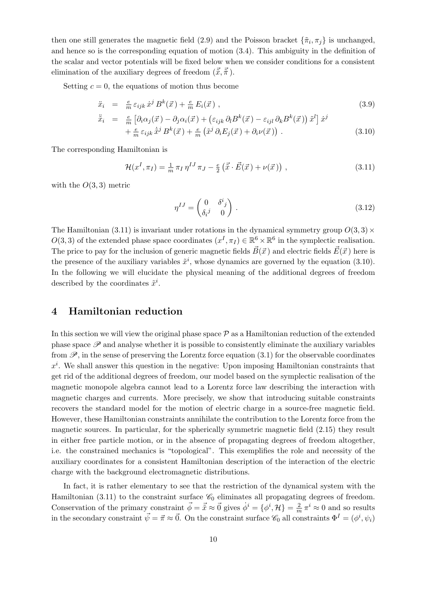then one still generates the magnetic field [\(2.9\)](#page-5-4) and the Poisson bracket  $\{\tilde{\pi}_i, \pi_j\}$  is unchanged, and hence so is the corresponding equation of motion [\(3.4\)](#page-8-0). This ambiguity in the definition of the scalar and vector potentials will be fixed below when we consider conditions for a consistent elimination of the auxiliary degrees of freedom  $(\vec{\tilde{x}}, \vec{\tilde{\pi}})$ .

Setting  $c = 0$ , the equations of motion thus become

<span id="page-9-2"></span>
$$
\ddot{x}_i = \frac{e}{m} \varepsilon_{ijk} \dot{x}^j B^k(\vec{x}) + \frac{e}{m} E_i(\vec{x}), \qquad (3.9)
$$

$$
\ddot{\tilde{x}}_i = \frac{e}{m} \left[ \partial_i \alpha_j(\vec{x}) - \partial_j \alpha_i(\vec{x}) + \left( \varepsilon_{ijk} \partial_l B^k(\vec{x}) - \varepsilon_{ijl} \partial_k B^k(\vec{x}) \right) \tilde{x}^l \right] \dot{x}^j + \frac{e}{m} \varepsilon_{ijk} \dot{\tilde{x}}^j B^k(\vec{x}) + \frac{e}{m} \left( \tilde{x}^j \partial_i E_j(\vec{x}) + \partial_i \nu(\vec{x}) \right).
$$
\n(3.10)

The corresponding Hamiltonian is

<span id="page-9-1"></span>
$$
\mathcal{H}(x^I, \pi_I) = \frac{1}{m} \pi_I \eta^{IJ} \pi_J - \frac{e}{2} \left( \vec{\tilde{x}} \cdot \vec{E}(\vec{x}) + \nu(\vec{x}) \right) , \qquad (3.11)
$$

with the  $O(3,3)$  metric

$$
\eta^{IJ} = \begin{pmatrix} 0 & \delta^i{}_j \\ \delta_i{}^j & 0 \end{pmatrix} . \tag{3.12}
$$

The Hamiltonian [\(3.11\)](#page-9-1) is invariant under rotations in the dynamical symmetry group  $O(3,3) \times$  $O(3,3)$  of the extended phase space coordinates  $(x^I, \pi_I) \in \mathbb{R}^6 \times \mathbb{R}^6$  in the symplectic realisation. The price to pay for the inclusion of generic magnetic fields  $\vec{B}(\vec{x})$  and electric fields  $\vec{E}(\vec{x})$  here is the presence of the auxiliary variables  $\tilde{x}^i$ , whose dynamics are governed by the equation [\(3.10\)](#page-9-2). In the following we will elucidate the physical meaning of the additional degrees of freedom described by the coordinates  $\tilde{x}^i$ .

#### <span id="page-9-0"></span>4 Hamiltonian reduction

In this section we will view the original phase space  $\mathcal P$  as a Hamiltonian reduction of the extended phase space  $\mathscr P$  and analyse whether it is possible to consistently eliminate the auxiliary variables from  $\mathscr{P}$ , in the sense of preserving the Lorentz force equation [\(3.1\)](#page-7-1) for the observable coordinates  $x^i$ . We shall answer this question in the negative: Upon imposing Hamiltonian constraints that get rid of the additional degrees of freedom, our model based on the symplectic realisation of the magnetic monopole algebra cannot lead to a Lorentz force law describing the interaction with magnetic charges and currents. More precisely, we show that introducing suitable constraints recovers the standard model for the motion of electric charge in a source-free magnetic field. However, these Hamiltonian constraints annihilate the contribution to the Lorentz force from the magnetic sources. In particular, for the spherically symmetric magnetic field [\(2.15\)](#page-6-1) they result in either free particle motion, or in the absence of propagating degrees of freedom altogether, i.e. the constrained mechanics is "topological". This exemplifies the role and necessity of the auxiliary coordinates for a consistent Hamiltonian description of the interaction of the electric charge with the background electromagnetic distributions.

In fact, it is rather elementary to see that the restriction of the dynamical system with the Hamiltonian [\(3.11\)](#page-9-1) to the constraint surface  $\mathscr{C}_0$  eliminates all propagating degrees of freedom. Conservation of the primary constraint  $\vec{\phi} = \vec{\tilde{x}} \approx \vec{0}$  gives  $\dot{\phi}^i = {\phi^i, \mathcal{H}} = \frac{2}{n}$  $\frac{2}{m}\pi^i \approx 0$  and so results in the secondary constraint  $\vec{\psi} = \vec{\pi} \approx \vec{0}$ . On the constraint surface  $\mathscr{C}_0$  all constraints  $\Phi^I = (\phi^i, \psi_i)$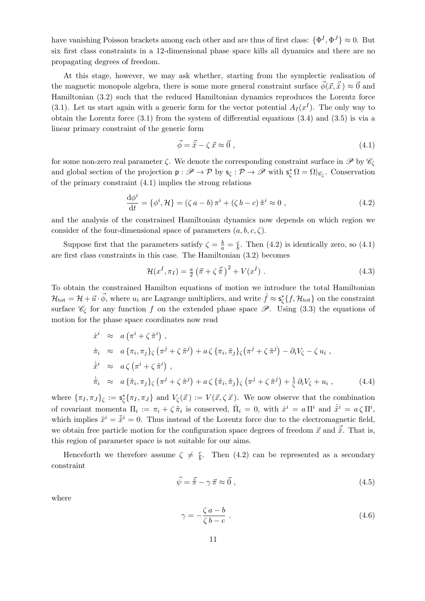have vanishing Poisson brackets among each other and are thus of first class:  $\{\Phi^I, \Phi^J\} \approx 0$ . But six first class constraints in a 12-dimensional phase space kills all dynamics and there are no propagating degrees of freedom.

At this stage, however, we may ask whether, starting from the symplectic realisation of the magnetic monopole algebra, there is some more general constraint surface  $\vec{\phi}(\vec{x}, \vec{\tilde{x}}) \approx \vec{0}$  and Hamiltonian [\(3.2\)](#page-8-1) such that the reduced Hamiltonian dynamics reproduces the Lorentz force [\(3.1\)](#page-7-1). Let us start again with a generic form for the vector potential  $A_I(x^I)$ . The only way to obtain the Lorentz force [\(3.1\)](#page-7-1) from the system of differential equations [\(3.4\)](#page-8-0) and [\(3.5\)](#page-8-0) is via a linear primary constraint of the generic form

<span id="page-10-0"></span>
$$
\vec{\phi} = \vec{\tilde{x}} - \zeta \, \vec{x} \approx \vec{0} \,,\tag{4.1}
$$

for some non-zero real parameter  $\zeta$ . We denote the corresponding constraint surface in  $\mathscr{P}$  by  $\mathscr{C}_{\zeta}$ and global section of the projection  $p: \mathscr{P} \to \mathcal{P}$  by  $s_{\zeta}: \mathcal{P} \to \mathscr{P}$  with  $s_{\zeta}^* \Omega = \Omega|_{\mathscr{C}_{\zeta}}$ . Conservation of the primary constraint [\(4.1\)](#page-10-0) implies the strong relations

<span id="page-10-1"></span>
$$
\frac{\mathrm{d}\phi^i}{\mathrm{d}t} = \{\phi^i, \mathcal{H}\} = (\zeta a - b)\,\pi^i + (\zeta b - c)\,\tilde{\pi}^i \approx 0\,,\tag{4.2}
$$

and the analysis of the constrained Hamiltonian dynamics now depends on which region we consider of the four-dimensional space of parameters  $(a, b, c, \zeta)$ .

Suppose first that the parameters satisfy  $\zeta = \frac{b}{a} = \frac{c}{b}$  $\frac{c}{b}$ . Then [\(4.2\)](#page-10-1) is identically zero, so [\(4.1\)](#page-10-0) are first class constraints in this case. The Hamiltonian [\(3.2\)](#page-8-1) becomes

$$
\mathcal{H}(x^I, \pi_I) = \frac{a}{2} (\vec{\pi} + \zeta \vec{\hat{\pi}})^2 + V(x^I) \ . \tag{4.3}
$$

To obtain the constrained Hamilton equations of motion we introduce the total Hamiltonian  $\mathcal{H}_{\text{tot}} = \mathcal{H} + \vec{u} \cdot \vec{\phi}$ , where  $u_i$  are Lagrange multipliers, and write  $\dot{f} \approx s^*_{\zeta} \{f, \mathcal{H}_{\text{tot}}\}$  on the constraint surface  $\mathscr{C}_{\mathcal{C}}$  for any function f on the extended phase space  $\mathscr{P}$ . Using [\(3.3\)](#page-8-2) the equations of motion for the phase space coordinates now read

$$
\dot{x}^i \approx a \left( \pi^i + \zeta \tilde{\pi}^i \right) ,
$$
\n
$$
\dot{\pi}_i \approx a \left\{ \pi_i, \pi_j \right\} \zeta \left( \pi^j + \zeta \tilde{\pi}^j \right) + a \zeta \left\{ \pi_i, \tilde{\pi}_j \right\} \zeta \left( \pi^j + \zeta \tilde{\pi}^j \right) - \partial_i V_{\zeta} - \zeta u_i ,
$$
\n
$$
\dot{\tilde{x}}^i \approx a \zeta \left( \pi^i + \zeta \tilde{\pi}^i \right) ,
$$
\n
$$
\dot{\tilde{\pi}}_i \approx a \left\{ \tilde{\pi}_i, \pi_j \right\} \zeta \left( \pi^j + \zeta \tilde{\pi}^j \right) + a \zeta \left\{ \tilde{\pi}_i, \tilde{\pi}_j \right\} \zeta \left( \pi^j + \zeta \tilde{\pi}^j \right) + \frac{1}{\zeta} \partial_i V_{\zeta} + u_i ,
$$
\n(4.4)

where  ${\lbrace \pi_I, \pi_J \rbrace}_{\zeta} := s_{\zeta}^* {\lbrace \pi_I, \pi_J \rbrace}$  and  $V_{\zeta}(\vec{x}) := V(\vec{x}, \zeta \vec{x})$ . We now observe that the combination of covariant momenta  $\Pi_i := \pi_i + \zeta \tilde{\pi}_i$  is conserved,  $\dot{\Pi}_i = 0$ , with  $\dot{x}^i = a \Pi^i$  and  $\dot{\tilde{x}}^i = a \zeta \Pi^i$ , which implies  $\ddot{x}^i = \ddot{\ddot{x}}^i = 0$ . Thus instead of the Lorentz force due to the electromagnetic field, we obtain free particle motion for the configuration space degrees of freedom  $\vec{x}$  and  $\vec{\tilde{x}}$ . That is, this region of parameter space is not suitable for our aims.

Henceforth we therefore assume  $\zeta \neq \frac{c}{h}$  $\frac{c}{b}$ . Then [\(4.2\)](#page-10-1) can be represented as a secondary constraint

<span id="page-10-2"></span>
$$
\vec{\psi} = \vec{\tilde{\pi}} - \gamma \,\vec{\pi} \approx \vec{0} \,,\tag{4.5}
$$

where

<span id="page-10-3"></span>
$$
\gamma = -\frac{\zeta a - b}{\zeta b - c} \tag{4.6}
$$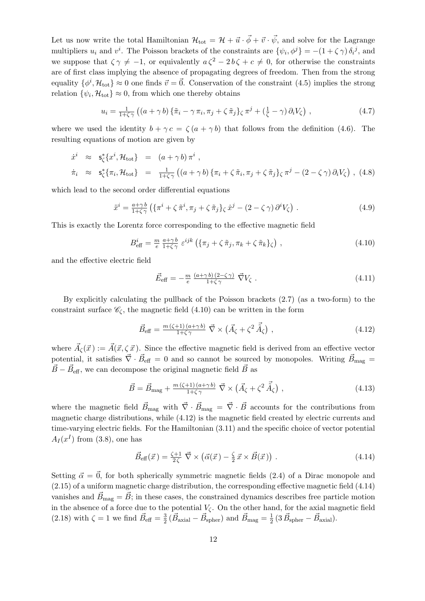Let us now write the total Hamiltonian  $\mathcal{H}_{\text{tot}} = \mathcal{H} + \vec{u} \cdot \vec{\phi} + \vec{v} \cdot \vec{\psi}$ , and solve for the Lagrange multipliers  $u_i$  and  $v^i$ . The Poisson brackets of the constraints are  $\{\psi_i, \phi^j\} = -(1 + \zeta \gamma) \delta_i^j$ , and we suppose that  $\zeta \gamma \neq -1$ , or equivalently  $a \zeta^2 - 2 b \zeta + c \neq 0$ , for otherwise the constraints are of first class implying the absence of propagating degrees of freedom. Then from the strong equality  $\{\phi^i, \mathcal{H}_{tot}\}\approx 0$  one finds  $\vec{v}=\vec{0}$ . Conservation of the constraint [\(4.5\)](#page-10-2) implies the strong relation  $\{\psi_i, \mathcal{H}_{\text{tot}}\} \approx 0$ , from which one thereby obtains

$$
u_i = \frac{1}{1+\zeta\gamma} \left( (a+\gamma b) \left\{ \tilde{\pi}_i - \gamma \pi_i, \pi_j + \zeta \tilde{\pi}_j \right\} \zeta \pi^j + \left( \frac{1}{\zeta} - \gamma \right) \partial_i V_{\zeta} \right) , \tag{4.7}
$$

where we used the identity  $b + \gamma c = \zeta (a + \gamma b)$  that follows from the definition [\(4.6\)](#page-10-3). The resulting equations of motion are given by

$$
\dot{x}^i \approx s_{\zeta}^* \{x^i, \mathcal{H}_{\text{tot}}\} = (a + \gamma b) \pi^i ,
$$
  
\n
$$
\dot{\pi}_i \approx s_{\zeta}^* \{ \pi_i, \mathcal{H}_{\text{tot}}\} = \frac{1}{1 + \zeta \gamma} ((a + \gamma b) \{ \pi_i + \zeta \tilde{\pi}_i, \pi_j + \zeta \tilde{\pi}_j \} \zeta \pi^j - (2 - \zeta \gamma) \partial_i V_{\zeta}) , (4.8)
$$

which lead to the second order differential equations

<span id="page-11-4"></span>
$$
\ddot{x}^i = \frac{a + \gamma b}{1 + \zeta \gamma} \left( \{ \pi^i + \zeta \tilde{\pi}^i, \pi_j + \zeta \tilde{\pi}_j \} _{\zeta} \dot{x}^j - (2 - \zeta \gamma) \partial^i V_{\zeta} \right) . \tag{4.9}
$$

This is exactly the Lorentz force corresponding to the effective magnetic field

<span id="page-11-0"></span>
$$
B_{\text{eff}}^{i} = \frac{m}{e} \frac{a + \gamma b}{1 + \zeta \gamma} \varepsilon^{ijk} \left( \{ \pi_j + \zeta \tilde{\pi}_j, \pi_k + \zeta \tilde{\pi}_k \} _{\zeta} \right), \tag{4.10}
$$

and the effective electric field

<span id="page-11-3"></span>
$$
\vec{E}_{\text{eff}} = -\frac{m}{e} \frac{(a+\gamma b)(2-\zeta \gamma)}{1+\zeta \gamma} \vec{\nabla} V_{\zeta} . \qquad (4.11)
$$

By explicitly calculating the pullback of the Poisson brackets [\(2.7\)](#page-5-5) (as a two-form) to the constraint surface  $\mathscr{C}_{\zeta}$ , the magnetic field [\(4.10\)](#page-11-0) can be written in the form

<span id="page-11-1"></span>
$$
\vec{B}_{\text{eff}} = \frac{m\left(\zeta + 1\right)\left(a + \gamma b\right)}{1 + \zeta \gamma} \vec{\nabla} \times \left(\vec{A}_{\zeta} + \zeta^2 \vec{A}_{\zeta}\right) ,\tag{4.12}
$$

where  $\vec{A}_{\zeta}(\vec{x}) := \vec{A}(\vec{x}, \zeta \vec{x})$ . Since the effective magnetic field is derived from an effective vector potential, it satisfies  $\vec{\nabla} \cdot \vec{B}_{\text{eff}} = 0$  and so cannot be sourced by monopoles. Writing  $\vec{B}_{\text{mag}} =$  $\vec{B} - \vec{B}_{\text{eff}}$ , we can decompose the original magnetic field  $\vec{B}$  as

<span id="page-11-5"></span>
$$
\vec{B} = \vec{B}_{\text{mag}} + \frac{m(\zeta + 1)(a + \gamma b)}{1 + \zeta \gamma} \vec{\nabla} \times (\vec{A}_{\zeta} + \zeta^2 \vec{A}_{\zeta}), \qquad (4.13)
$$

where the magnetic field  $\vec{B}_{\text{mag}}$  with  $\vec{\nabla} \cdot \vec{B}_{\text{mag}} = \vec{\nabla} \cdot \vec{B}$  accounts for the contributions from magnetic charge distributions, while [\(4.12\)](#page-11-1) is the magnetic field created by electric currents and time-varying electric fields. For the Hamiltonian [\(3.11\)](#page-9-1) and the specific choice of vector potential  $A_I(x^I)$  from [\(3.8\)](#page-8-3), one has

<span id="page-11-2"></span>
$$
\vec{B}_{\text{eff}}(\vec{x}) = \frac{\zeta + 1}{2\zeta} \vec{\nabla} \times (\vec{\alpha}(\vec{x}) - \frac{\zeta}{2} \vec{x} \times \vec{B}(\vec{x})). \tag{4.14}
$$

Setting  $\vec{\alpha} = \vec{0}$ , for both spherically symmetric magnetic fields [\(2.4\)](#page-4-5) of a Dirac monopole and [\(2.15\)](#page-6-1) of a uniform magnetic charge distribution, the corresponding effective magnetic field [\(4.14\)](#page-11-2) vanishes and  $\vec{B}_{\text{mag}} = \vec{B}$ ; in these cases, the constrained dynamics describes free particle motion in the absence of a force due to the potential  $V_{\zeta}$ . On the other hand, for the axial magnetic field [\(2.18\)](#page-6-2) with  $\zeta = 1$  we find  $\vec{B}_{\text{eff}} = \frac{3}{2}$  $\frac{3}{2}$  ( $\vec{B}_{\text{axial}} - \vec{B}_{\text{spher}}$ ) and  $\vec{B}_{\text{mag}} = \frac{1}{2}$  $\frac{1}{2}$  (3  $\vec{B}_{\text{spher}} - \vec{B}_{\text{axial}}$ ).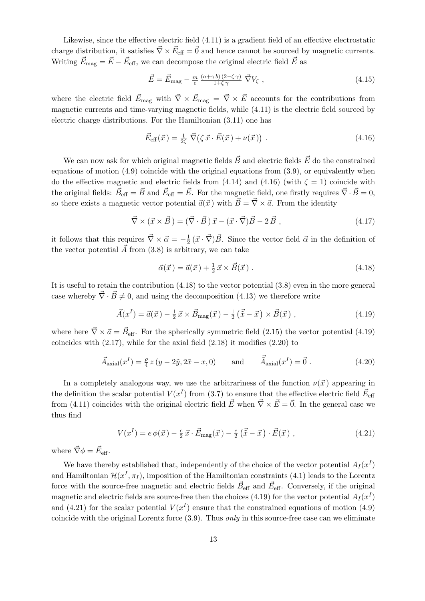Likewise, since the effective electric field [\(4.11\)](#page-11-3) is a gradient field of an effective electrostatic charge distribution, it satisfies  $\vec{\nabla} \times \vec{E}_{\text{eff}} = \vec{0}$  and hence cannot be sourced by magnetic currents. Writing  $\vec{E}_{\text{mag}} = \vec{E} - \vec{E}_{\text{eff}}$ , we can decompose the original electric field  $\vec{E}$  as

$$
\vec{E} = \vec{E}_{\text{mag}} - \frac{m}{e} \frac{(a + \gamma b)(2 - \zeta \gamma)}{1 + \zeta \gamma} \vec{\nabla} V_{\zeta} , \qquad (4.15)
$$

where the electric field  $\vec{E}_{\text{mag}}$  with  $\vec{\nabla} \times \vec{E}_{\text{mag}} = \vec{\nabla} \times \vec{E}$  accounts for the contributions from magnetic currents and time-varying magnetic fields, while [\(4.11\)](#page-11-3) is the electric field sourced by electric charge distributions. For the Hamiltonian [\(3.11\)](#page-9-1) one has

<span id="page-12-0"></span>
$$
\vec{E}_{\text{eff}}(\vec{x}) = \frac{1}{2\zeta} \vec{\nabla} (\zeta \vec{x} \cdot \vec{E}(\vec{x}) + \nu(\vec{x})) \tag{4.16}
$$

We can now ask for which original magnetic fields  $\vec{B}~$  and electric fields  $\vec{E}~$  do the constrained equations of motion [\(4.9\)](#page-11-4) coincide with the original equations from [\(3.9\)](#page-9-2), or equivalently when do the effective magnetic and electric fields from  $(4.14)$  and  $(4.16)$  (with  $\zeta = 1$ ) coincide with the original fields:  $\vec{B}_{\text{eff}} = \vec{B}$  and  $\vec{E}_{\text{eff}} = \vec{E}$ . For the magnetic field, one firstly requires  $\vec{\nabla} \cdot \vec{B} = 0$ , so there exists a magnetic vector potential  $\vec{a}(\vec{x})$  with  $\vec{B} = \vec{\nabla} \times \vec{a}$ . From the identity

$$
\vec{\nabla} \times (\vec{x} \times \vec{B}) = (\vec{\nabla} \cdot \vec{B}) \vec{x} - (\vec{x} \cdot \vec{\nabla}) \vec{B} - 2 \vec{B} , \qquad (4.17)
$$

it follows that this requires  $\vec{\nabla} \times \vec{\alpha} = -\frac{1}{2}$  $\frac{1}{2}$   $(\vec{x} \cdot \vec{\nabla}) \vec{B}$ . Since the vector field  $\vec{\alpha}$  in the definition of the vector potential  $\vec{A}$  from [\(3.8\)](#page-8-3) is arbitrary, we can take

<span id="page-12-1"></span>
$$
\vec{\alpha}(\vec{x}) = \vec{a}(\vec{x}) + \frac{1}{2}\vec{x} \times \vec{B}(\vec{x}). \qquad (4.18)
$$

It is useful to retain the contribution [\(4.18\)](#page-12-1) to the vector potential [\(3.8\)](#page-8-3) even in the more general case whereby  $\vec{\nabla} \cdot \vec{B} \neq 0$ , and using the decomposition [\(4.13\)](#page-11-5) we therefore write

<span id="page-12-2"></span>
$$
\vec{A}(x^{I}) = \vec{a}(\vec{x}) - \frac{1}{2}\vec{x} \times \vec{B}_{\text{mag}}(\vec{x}) - \frac{1}{2}(\vec{\tilde{x}} - \vec{x}) \times \vec{B}(\vec{x}), \qquad (4.19)
$$

where here  $\vec{\nabla} \times \vec{a} = \vec{B}_{\text{eff}}$ . For the spherically symmetric field [\(2.15\)](#page-6-1) the vector potential [\(4.19\)](#page-12-2) coincides with [\(2.17\)](#page-6-3), while for the axial field [\(2.18\)](#page-6-2) it modifies [\(2.20\)](#page-7-2) to

<span id="page-12-4"></span>
$$
\vec{A}_{\text{axial}}(x^I) = \frac{\rho}{4} z (y - 2\tilde{y}, 2\tilde{x} - x, 0) \quad \text{and} \quad \vec{\tilde{A}}_{\text{axial}}(x^I) = \vec{0} \,. \tag{4.20}
$$

In a completely analogous way, we use the arbitrariness of the function  $\nu(\vec{x})$  appearing in the definition the scalar potential  $V(x^I)$  from [\(3.7\)](#page-8-4) to ensure that the effective electric field  $\vec{E}_{\text{eff}}$ from [\(4.11\)](#page-11-3) coincides with the original electric field  $\vec{E}$  when  $\vec{\nabla} \times \vec{E} = \vec{0}$ . In the general case we thus find

<span id="page-12-3"></span>
$$
V(x^{I}) = e\phi(\vec{x}) - \frac{e}{2}\vec{x}\cdot\vec{E}_{\text{mag}}(\vec{x}) - \frac{e}{2}(\vec{x} - \vec{x})\cdot\vec{E}(\vec{x}), \qquad (4.21)
$$

where  $\vec{\nabla}\phi = \vec{E}_{\text{eff}}$ .

We have thereby established that, independently of the choice of the vector potential  $A_I(x^I)$ and Hamiltonian  $\mathcal{H}(x^I, \pi_I)$ , imposition of the Hamiltonian constraints [\(4.1\)](#page-10-0) leads to the Lorentz force with the source-free magnetic and electric fields  $\vec{B}_{\text{eff}}$  and  $\vec{E}_{\text{eff}}$ . Conversely, if the original magnetic and electric fields are source-free then the choices [\(4.19\)](#page-12-2) for the vector potential  $A_I(x^I)$ and [\(4.21\)](#page-12-3) for the scalar potential  $V(x^I)$  ensure that the constrained equations of motion [\(4.9\)](#page-11-4) coincide with the original Lorentz force  $(3.9)$ . Thus *only* in this source-free case can we eliminate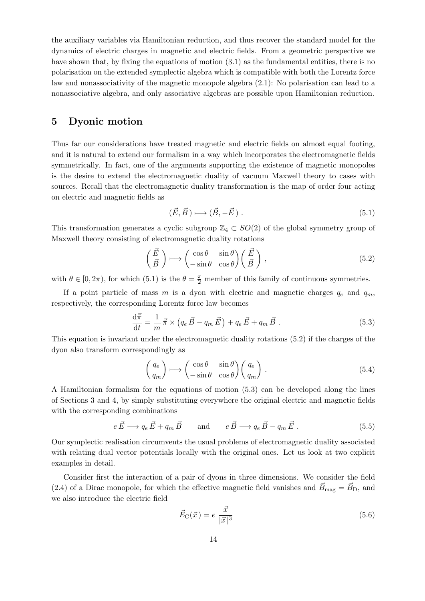the auxiliary variables via Hamiltonian reduction, and thus recover the standard model for the dynamics of electric charges in magnetic and electric fields. From a geometric perspective we have shown that, by fixing the equations of motion  $(3.1)$  as the fundamental entities, there is no polarisation on the extended symplectic algebra which is compatible with both the Lorentz force law and nonassociativity of the magnetic monopole algebra [\(2.1\)](#page-4-1): No polarisation can lead to a nonassociative algebra, and only associative algebras are possible upon Hamiltonian reduction.

# <span id="page-13-0"></span>5 Dyonic motion

Thus far our considerations have treated magnetic and electric fields on almost equal footing, and it is natural to extend our formalism in a way which incorporates the electromagnetic fields symmetrically. In fact, one of the arguments supporting the existence of magnetic monopoles is the desire to extend the electromagnetic duality of vacuum Maxwell theory to cases with sources. Recall that the electromagnetic duality transformation is the map of order four acting on electric and magnetic fields as

<span id="page-13-1"></span>
$$
(\vec{E}, \vec{B}) \longmapsto (\vec{B}, -\vec{E}) . \tag{5.1}
$$

This transformation generates a cyclic subgroup  $\mathbb{Z}_4 \subset SO(2)$  of the global symmetry group of Maxwell theory consisting of electromagnetic duality rotations

<span id="page-13-2"></span>
$$
\begin{pmatrix}\n\vec{E} \\
\vec{B}\n\end{pmatrix}\n\longmapsto\n\begin{pmatrix}\n\cos\theta & \sin\theta \\
-\sin\theta & \cos\theta\n\end{pmatrix}\n\begin{pmatrix}\n\vec{E} \\
\vec{B}\n\end{pmatrix},
$$
\n(5.2)

with  $\theta \in [0, 2\pi)$ , for which  $(5.1)$  is the  $\theta = \frac{\pi}{2}$  member of this family of continuous symmetries.

If a point particle of mass m is a dyon with electric and magnetic charges  $q_e$  and  $q_m$ , respectively, the corresponding Lorentz force law becomes

<span id="page-13-3"></span>
$$
\frac{\mathrm{d}\vec{\pi}}{\mathrm{d}t} = \frac{1}{m}\,\vec{\pi}\times\left(q_e\,\vec{B} - q_m\,\vec{E}\,\right) + q_e\,\vec{E} + q_m\,\vec{B}\,. \tag{5.3}
$$

This equation is invariant under the electromagnetic duality rotations [\(5.2\)](#page-13-2) if the charges of the dyon also transform correspondingly as

<span id="page-13-4"></span>
$$
\begin{pmatrix} q_e \\ q_m \end{pmatrix} \longmapsto \begin{pmatrix} \cos \theta & \sin \theta \\ -\sin \theta & \cos \theta \end{pmatrix} \begin{pmatrix} q_e \\ q_m \end{pmatrix} . \tag{5.4}
$$

A Hamiltonian formalism for the equations of motion [\(5.3\)](#page-13-3) can be developed along the lines of Sections [3](#page-7-0) and [4,](#page-9-0) by simply substituting everywhere the original electric and magnetic fields with the corresponding combinations

$$
e\vec{E} \longrightarrow q_e\vec{E} + q_m\vec{B}
$$
 and  $e\vec{B} \longrightarrow q_e\vec{B} - q_m\vec{E}$ . (5.5)

Our symplectic realisation circumvents the usual problems of electromagnetic duality associated with relating dual vector potentials locally with the original ones. Let us look at two explicit examples in detail.

Consider first the interaction of a pair of dyons in three dimensions. We consider the field [\(2.4\)](#page-4-5) of a Dirac monopole, for which the effective magnetic field vanishes and  $\vec{B}_{\text{mag}} = \vec{B}_{\text{D}}$ , and we also introduce the electric field

$$
\vec{E}_{\mathcal{C}}(\vec{x}) = e \frac{\vec{x}}{|\vec{x}|^3}
$$
\n(5.6)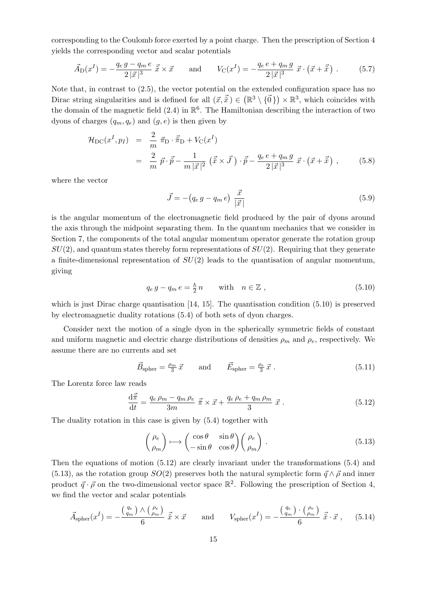corresponding to the Coulomb force exerted by a point charge. Then the prescription of Section [4](#page-9-0) yields the corresponding vector and scalar potentials

$$
\vec{A}_{\mathcal{D}}(x^I) = -\frac{q_e g - q_m e}{2|\vec{x}|^3} \vec{x} \times \vec{x} \quad \text{and} \quad V_{\mathcal{C}}(x^I) = -\frac{q_e e + q_m g}{2|\vec{x}|^3} \vec{x} \cdot (\vec{x} + \vec{\tilde{x}}) \ . \tag{5.7}
$$

Note that, in contrast to [\(2.5\)](#page-4-6), the vector potential on the extended configuration space has no Dirac string singularities and is defined for all  $(\vec{x}, \vec{\tilde{x}}) \in (\mathbb{R}^3 \setminus {\vec{0}}) \times \mathbb{R}^3$ , which coincides with the domain of the magnetic field  $(2.4)$  in  $\mathbb{R}^6$ . The Hamiltonian describing the interaction of two dyons of charges  $(q_m, q_e)$  and  $(q, e)$  is then given by

$$
\mathcal{H}_{\text{DC}}(x^I, p_I) = \frac{2}{m} \vec{\pi}_{\text{D}} \cdot \vec{\tilde{\pi}}_{\text{D}} + V_{\text{C}}(x^I)
$$
  

$$
= \frac{2}{m} \vec{p} \cdot \vec{\tilde{p}} - \frac{1}{m |\vec{x}|^2} (\vec{\tilde{x}} \times \vec{J}) \cdot \vec{\tilde{p}} - \frac{q_e e + q_m g}{2 |\vec{x}|^3} \vec{x} \cdot (\vec{x} + \vec{\tilde{x}}), \quad (5.8)
$$

where the vector

$$
\vec{J} = -\left(q_e g - q_m e\right) \frac{\vec{x}}{|\vec{x}|} \tag{5.9}
$$

is the angular momentum of the electromagnetic field produced by the pair of dyons around the axis through the midpoint separating them. In the quantum mechanics that we consider in Section [7,](#page-19-0) the components of the total angular momentum operator generate the rotation group  $SU(2)$ , and quantum states thereby form representations of  $SU(2)$ . Requiring that they generate a finite-dimensional representation of  $SU(2)$  leads to the quantisation of angular momentum, giving

<span id="page-14-0"></span>
$$
q_e g - q_m e = \frac{\hbar}{2} n \quad \text{with} \quad n \in \mathbb{Z} , \qquad (5.10)
$$

which is just Dirac charge quantisation  $[14, 15]$  $[14, 15]$  $[14, 15]$ . The quantisation condition  $(5.10)$  is preserved by electromagnetic duality rotations [\(5.4\)](#page-13-4) of both sets of dyon charges.

Consider next the motion of a single dyon in the spherically symmetric fields of constant and uniform magnetic and electric charge distributions of densities  $\rho_m$  and  $\rho_e$ , respectively. We assume there are no currents and set

$$
\vec{B}_{\text{spher}} = \frac{\rho_m}{3} \vec{x} \quad \text{and} \quad \vec{E}_{\text{spher}} = \frac{\rho_e}{3} \vec{x} \,. \tag{5.11}
$$

The Lorentz force law reads

<span id="page-14-1"></span>
$$
\frac{\mathrm{d}\vec{\pi}}{\mathrm{d}t} = \frac{q_e \,\rho_m - q_m \,\rho_e}{3m} \,\vec{\pi} \times \vec{x} + \frac{q_e \,\rho_e + q_m \,\rho_m}{3}\,\vec{x} \,. \tag{5.12}
$$

The duality rotation in this case is given by [\(5.4\)](#page-13-4) together with

<span id="page-14-2"></span>
$$
\begin{pmatrix} \rho_e \\ \rho_m \end{pmatrix} \longmapsto \begin{pmatrix} \cos \theta & \sin \theta \\ -\sin \theta & \cos \theta \end{pmatrix} \begin{pmatrix} \rho_e \\ \rho_m \end{pmatrix} . \tag{5.13}
$$

Then the equations of motion [\(5.12\)](#page-14-1) are clearly invariant under the transformations [\(5.4\)](#page-13-4) and [\(5.13\)](#page-14-2), as the rotation group  $SO(2)$  preserves both the natural symplectic form  $\vec{q} \wedge \vec{\rho}$  and inner product  $\vec{q} \cdot \vec{\rho}$  on the two-dimensional vector space  $\mathbb{R}^2$ . Following the prescription of Section [4,](#page-9-0) we find the vector and scalar potentials

$$
\vec{A}_{\text{spher}}(x^I) = -\frac{\binom{q_e}{q_m} \wedge \binom{\rho_e}{\rho_m}}{6} \vec{x} \times \vec{x} \quad \text{and} \quad V_{\text{spher}}(x^I) = -\frac{\binom{q_e}{q_m} \cdot \binom{\rho_e}{\rho_m}}{6} \vec{x} \cdot \vec{x} , \quad (5.14)
$$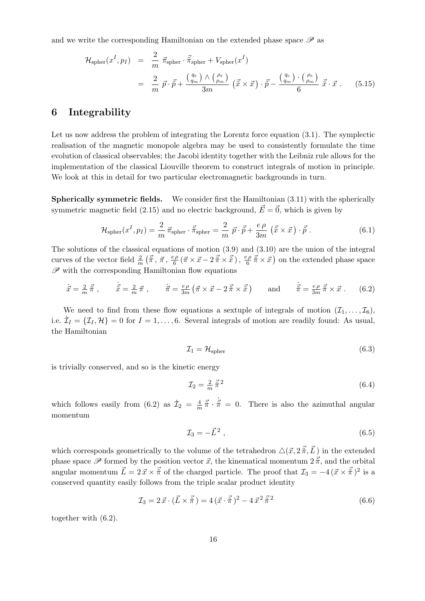and we write the corresponding Hamiltonian on the extended phase space  $\mathscr P$  as

<span id="page-15-2"></span>
$$
\mathcal{H}_{\text{spher}}(x^{I}, p_{I}) = \frac{2}{m} \vec{\pi}_{\text{spher}} \cdot \vec{\tilde{\pi}}_{\text{spher}} + V_{\text{spher}}(x^{I})
$$

$$
= \frac{2}{m} \vec{p} \cdot \vec{p} + \frac{\left(\frac{q_{e}}{q_{m}}\right) \wedge \left(\frac{\rho_{e}}{\rho_{m}}\right)}{3m} \left(\vec{x} \times \vec{x}\right) \cdot \vec{p} - \frac{\left(\frac{q_{e}}{q_{m}}\right) \cdot \left(\frac{\rho_{e}}{\rho_{m}}\right)}{6} \vec{x} \cdot \vec{x} \,. \tag{5.15}
$$

#### <span id="page-15-0"></span>6 Integrability

Let us now address the problem of integrating the Lorentz force equation [\(3.1\)](#page-7-1). The symplectic realisation of the magnetic monopole algebra may be used to consistently formulate the time evolution of classical observables; the Jacobi identity together with the Leibniz rule allows for the implementation of the classical Liouville theorem to construct integrals of motion in principle. We look at this in detail for two particular electromagnetic backgrounds in turn.

Spherically symmetric fields. We consider first the Hamiltonian [\(3.11\)](#page-9-1) with the spherically symmetric magnetic field [\(2.15\)](#page-6-1) and no electric background,  $\vec{E} = \vec{0}$ , which is given by

$$
\mathcal{H}_{\text{spher}}(x^I, p_I) = \frac{2}{m} \,\vec{\pi}_{\text{spher}} \cdot \vec{\tilde{\pi}}_{\text{spher}} = \frac{2}{m} \,\vec{p} \cdot \vec{\tilde{p}} + \frac{e \,\rho}{3m} \left( \vec{\tilde{x}} \times \vec{x} \right) \cdot \vec{\tilde{p}} \,. \tag{6.1}
$$

The solutions of the classical equations of motion [\(3.9\)](#page-9-2) and [\(3.10\)](#page-9-2) are the union of the integral curves of the vector field  $\frac{2}{m}(\vec{\tilde{\pi}}, \vec{\pi}, \frac{e\rho}{6})$  $\frac{e}{6}$  $(\vec{\pi} \times \vec{x} - 2\vec{\tilde{\pi}} \times \vec{\tilde{x}}), \frac{e}{6}$  $\frac{\partial^2 \rho}{\partial \vec{n}} \vec{\pi} \times \vec{x}$  ) on the extended phase space  $\mathscr P$  with the corresponding Hamiltonian flow equations

<span id="page-15-1"></span>
$$
\dot{\vec{x}} = \frac{2}{m}\vec{\tilde{\pi}}, \qquad \dot{\vec{\tilde{x}}} = \frac{2}{m}\vec{\pi}, \qquad \dot{\vec{\pi}} = \frac{e\rho}{3m} \left( \vec{\pi} \times \vec{x} - 2\vec{\tilde{\pi}} \times \vec{\tilde{x}} \right) \qquad \text{and} \qquad \dot{\vec{\tilde{\pi}}} = \frac{e\rho}{3m} \vec{\tilde{\pi}} \times \vec{x} \,. \tag{6.2}
$$

We need to find from these flow equations a sextuple of integrals of motion  $(\mathcal{I}_1, \ldots, \mathcal{I}_6)$ , i.e.  $\dot{\mathcal{I}}_I = {\mathcal{I}_I, \mathcal{H}} = 0$  for  $I = 1, \ldots, 6$ . Several integrals of motion are readily found: As usual, the Hamiltonian

$$
\mathcal{I}_1 = \mathcal{H}_{\text{spher}} \tag{6.3}
$$

is trivially conserved, and so is the kinetic energy

$$
\mathcal{I}_2 = \frac{2}{m}\,\vec{\tilde{\pi}}^2\tag{6.4}
$$

which follows easily from [\(6.2\)](#page-15-1) as  $\dot{\mathcal{I}}_2 = \frac{4}{n}$  $\frac{4}{m}\vec{\tilde{\pi}} \cdot \dot{\tilde{\vec{\pi}}} = 0$ . There is also the azimuthal angular momentum

$$
\mathcal{I}_3 = -\vec{L}^2 \,,\tag{6.5}
$$

which corresponds geometrically to the volume of the tetrahedron  $\Delta(\vec{x}, 2 \vec{\tilde{\pi}}, \vec{L})$  in the extended phase space  $\mathscr P$  formed by the position vector  $\vec x$ , the kinematical momentum  $2 \vec{\tilde{\pi}}$ , and the orbital angular momentum  $\vec{L} = 2 \vec{x} \times \vec{\tilde{\pi}}$  of the charged particle. The proof that  $\mathcal{I}_3 = -4 (\vec{x} \times \vec{\tilde{\pi}})^2$  is a conserved quantity easily follows from the triple scalar product identity

$$
\mathcal{I}_3 = 2\,\vec{x} \cdot (\vec{L} \times \vec{\pi}) = 4\,(\vec{x} \cdot \vec{\pi})^2 - 4\,\vec{x}^2\,\vec{\pi}^2 \tag{6.6}
$$

together with [\(6.2\)](#page-15-1).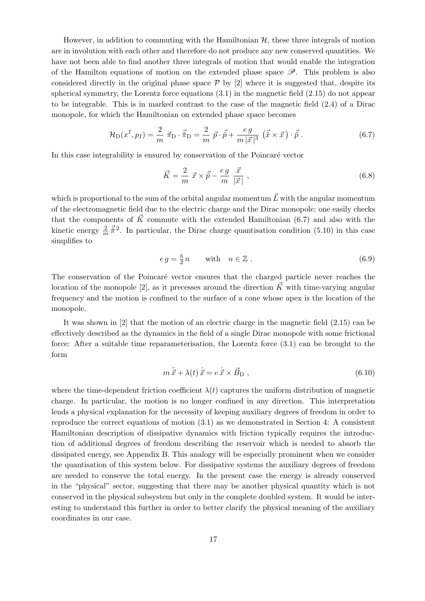However, in addition to commuting with the Hamiltonian  $H$ , these three integrals of motion are in involution with each other and therefore do not produce any new conserved quantities. We have not been able to find another three integrals of motion that would enable the integration of the Hamilton equations of motion on the extended phase space  $\mathscr{P}$ . This problem is also considered directly in the original phase space  $\mathcal{P}$  by [\[2\]](#page-35-0) where it is suggested that, despite its spherical symmetry, the Lorentz force equations  $(3.1)$  in the magnetic field  $(2.15)$  do not appear to be integrable. This is in marked contrast to the case of the magnetic field [\(2.4\)](#page-4-5) of a Dirac monopole, for which the Hamiltonian on extended phase space becomes

<span id="page-16-0"></span>
$$
\mathcal{H}_{\mathcal{D}}(x^I, p_I) = \frac{2}{m} \vec{\pi}_{\mathcal{D}} \cdot \vec{\tilde{\pi}}_{\mathcal{D}} = \frac{2}{m} \vec{p} \cdot \vec{\tilde{p}} + \frac{eg}{m|\vec{x}|^3} (\vec{\tilde{x}} \times \vec{x}) \cdot \vec{\tilde{p}}.
$$
\n(6.7)

In this case integrability is ensured by conservation of the Poincaré vector

$$
\vec{K} = \frac{2}{m}\ \vec{x} \times \vec{\tilde{p}} - \frac{eg}{m}\ \frac{\vec{x}}{|\vec{x}|} \ , \tag{6.8}
$$

which is proportional to the sum of the orbital angular momentum  $\vec{L}$  with the angular momentum of the electromagnetic field due to the electric charge and the Dirac monopole; one easily checks that the components of  $\vec{K}$  commute with the extended Hamiltonian [\(6.7\)](#page-16-0) and also with the kinetic energy  $\frac{2}{m}\vec{\pi}^2$ . In particular, the Dirac charge quantisation condition [\(5.10\)](#page-14-0) in this case simplifies to

<span id="page-16-1"></span>
$$
e g = \frac{\hbar}{2} n \qquad \text{with} \quad n \in \mathbb{Z} \ . \tag{6.9}
$$

The conservation of the Poincaré vector ensures that the charged particle never reaches the location of the monopole [\[2\]](#page-35-0), as it precesses around the direction  $\vec{K}$  with time-varying angular frequency and the motion is confined to the surface of a cone whose apex is the location of the monopole.

It was shown in [\[2\]](#page-35-0) that the motion of an electric charge in the magnetic field [\(2.15\)](#page-6-1) can be effectively described as the dynamics in the field of a single Dirac monopole with some frictional force: After a suitable time reparameterisation, the Lorentz force [\(3.1\)](#page-7-1) can be brought to the form

$$
m\ddot{\vec{x}} + \lambda(t)\dot{\vec{x}} = e\dot{\vec{x}} \times \vec{B}_{\text{D}} , \qquad (6.10)
$$

where the time-dependent friction coefficient  $\lambda(t)$  captures the uniform distribution of magnetic charge. In particular, the motion is no longer confined in any direction. This interpretation lends a physical explanation for the necessity of keeping auxiliary degrees of freedom in order to reproduce the correct equations of motion [\(3.1\)](#page-7-1) as we demonstrated in Section [4:](#page-9-0) A consistent Hamiltonian description of dissipative dynamics with friction typically requires the introduction of additional degrees of freedom describing the reservoir which is needed to absorb the dissipated energy, see Appendix [B.](#page-33-0) This analogy will be especially prominent when we consider the quantisation of this system below. For dissipative systems the auxiliary degrees of freedom are needed to conserve the total energy. In the present case the energy is already conserved in the "physical" sector, suggesting that there may be another physical quantity which is not conserved in the physical subsystem but only in the complete doubled system. It would be interesting to understand this further in order to better clarify the physical meaning of the auxiliary coordinates in our case.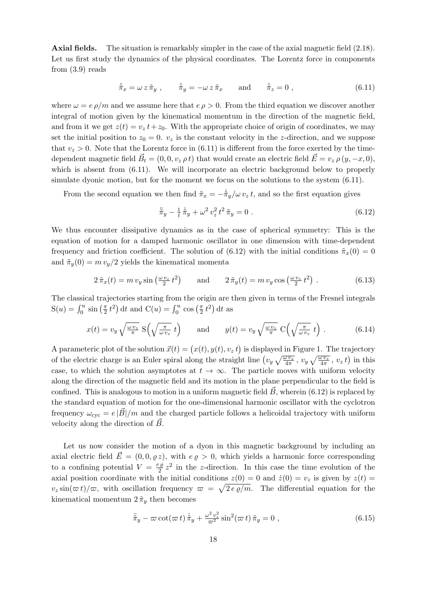Axial fields. The situation is remarkably simpler in the case of the axial magnetic field [\(2.18\)](#page-6-2). Let us first study the dynamics of the physical coordinates. The Lorentz force in components from  $(3.9)$  reads

<span id="page-17-0"></span>
$$
\dot{\tilde{\pi}}_x = \omega z \tilde{\pi}_y , \qquad \dot{\tilde{\pi}}_y = -\omega z \tilde{\pi}_x \qquad \text{and} \qquad \dot{\tilde{\pi}}_z = 0 , \qquad (6.11)
$$

where  $\omega = e \rho/m$  and we assume here that  $e \rho > 0$ . From the third equation we discover another integral of motion given by the kinematical momentum in the direction of the magnetic field, and from it we get  $z(t) = v_z t + z_0$ . With the appropriate choice of origin of coordinates, we may set the initial position to  $z_0 = 0$ .  $v_z$  is the constant velocity in the z-direction, and we suppose that  $v_z > 0$ . Note that the Lorentz force in [\(6.11\)](#page-17-0) is different from the force exerted by the timedependent magnetic field  $\vec{B}_t = (0, 0, v_z \rho t)$  that would create an electric field  $\vec{E} = v_z \rho (y, -x, 0)$ , which is absent from  $(6.11)$ . We will incorporate an electric background below to properly simulate dyonic motion, but for the moment we focus on the solutions to the system [\(6.11\)](#page-17-0).

From the second equation we then find  $\tilde{\pi}_x = -\frac{\dot{\tilde{\pi}}_y}{\omega v_z t}$ , and so the first equation gives

<span id="page-17-1"></span>
$$
\ddot{\tilde{\pi}}_y - \frac{1}{t}\dot{\tilde{\pi}}_y + \omega^2 v_z^2 t^2 \tilde{\pi}_y = 0.
$$
 (6.12)

We thus encounter dissipative dynamics as in the case of spherical symmetry: This is the equation of motion for a damped harmonic oscillator in one dimension with time-dependent frequency and friction coefficient. The solution of [\(6.12\)](#page-17-1) with the initial conditions  $\tilde{\pi}_x(0) = 0$ and  $\tilde{\pi}_y(0) = m v_y/2$  yields the kinematical momenta

<span id="page-17-2"></span>
$$
2\,\tilde{\pi}_x(t) = m\,v_y\sin\left(\frac{\omega\,v_z}{2}\,t^2\right) \qquad \text{and} \qquad 2\,\tilde{\pi}_y(t) = m\,v_y\cos\left(\frac{\omega\,v_z}{2}\,t^2\right) \,. \tag{6.13}
$$

The classical trajectories starting from the origin are then given in terms of the Fresnel integrals  $S(u) = \int_0^u \sin(\frac{\pi}{2})$  $(\frac{\pi}{2} t^2)$  dt and  $C(u) = \int_0^u \cos(\frac{\pi}{2})$  $\frac{\pi}{2}$  t<sup>2</sup>) dt as

$$
x(t) = v_y \sqrt{\frac{\omega v_z}{\pi}} S\left(\sqrt{\frac{\pi}{\omega v_z}} t\right) \quad \text{and} \quad y(t) = v_y \sqrt{\frac{\omega v_z}{\pi}} C\left(\sqrt{\frac{\pi}{\omega v_z}} t\right). \quad (6.14)
$$

A parameteric plot of the solution  $\vec{x}(t) = (x(t), y(t), v_z t)$  is displayed in Figure [1.](#page-18-0) The trajectory of the electric charge is an Euler spiral along the straight line  $(v_y \sqrt{\frac{\omega v_z}{4\pi}} , v_y \sqrt{\frac{\omega v_z}{4\pi}} , v_z t)$  in this case, to which the solution asymptotes at  $t \to \infty$ . The particle moves with uniform velocity along the direction of the magnetic field and its motion in the plane perpendicular to the field is confined. This is analogous to motion in a uniform magnetic field  $\vec{B}$ , wherein [\(6.12\)](#page-17-1) is replaced by the standard equation of motion for the one-dimensional harmonic oscillator with the cyclotron frequency  $\omega_{\rm cyc} = e |\vec{B}|/m$  and the charged particle follows a helicoidal trajectory with uniform velocity along the direction of  $\vec{B}$ .

Let us now consider the motion of a dyon in this magnetic background by including an axial electric field  $\vec{E} = (0, 0, \varrho z)$ , with  $e \varrho > 0$ , which yields a harmonic force corresponding to a confining potential  $V = \frac{e \varrho}{2}$  $\frac{2}{2}z^2$  in the z-direction. In this case the time evolution of the axial position coordinate with the initial conditions  $z(0) = 0$  and  $\dot{z}(0) = v_z$  is given by  $z(t) =$  $v_z \sin(\varpi t)/\varpi$ , with oscillation frequency  $\varpi = \sqrt{2 e \varrho/m}$ . The differential equation for the kinematical momentum  $2 \tilde{\pi}_y$  then becomes

$$
\ddot{\tilde{\pi}}_y - \varpi \cot(\varpi t) \dot{\tilde{\pi}}_y + \frac{\omega^2 v_z^2}{\varpi^2} \sin^2(\varpi t) \tilde{\pi}_y = 0 , \qquad (6.15)
$$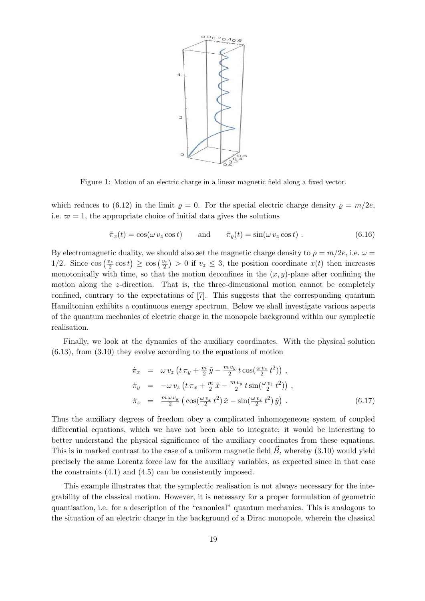

<span id="page-18-0"></span>Figure 1: Motion of an electric charge in a linear magnetic field along a fixed vector.

which reduces to [\(6.12\)](#page-17-1) in the limit  $\rho = 0$ . For the special electric charge density  $\rho = m/2e$ , i.e.  $\varpi = 1$ , the appropriate choice of initial data gives the solutions

$$
\tilde{\pi}_x(t) = \cos(\omega v_z \cos t) \quad \text{and} \quad \tilde{\pi}_y(t) = \sin(\omega v_z \cos t) . \tag{6.16}
$$

By electromagnetic duality, we should also set the magnetic charge density to  $\rho = m/2e$ , i.e.  $\omega =$ 1/2. Since  $\cos(\frac{v_z}{2} \cos t) \ge \cos(\frac{v_z}{2}) > 0$  if  $v_z \le 3$ , the position coordinate  $x(t)$  then increases monotonically with time, so that the motion deconfines in the  $(x, y)$ -plane after confining the motion along the z-direction. That is, the three-dimensional motion cannot be completely confined, contrary to the expectations of [\[7\]](#page-35-3). This suggests that the corresponding quantum Hamiltonian exhibits a continuous energy spectrum. Below we shall investigate various aspects of the quantum mechanics of electric charge in the monopole background within our symplectic realisation.

Finally, we look at the dynamics of the auxiliary coordinates. With the physical solution  $(6.13)$ , from  $(3.10)$  they evolve according to the equations of motion

$$
\dot{\pi}_x = \omega v_z \left( t \pi_y + \frac{m}{2} \tilde{y} - \frac{m v_y}{2} t \cos(\frac{\omega v_z}{2} t^2) \right),
$$
\n
$$
\dot{\pi}_y = -\omega v_z \left( t \pi_x + \frac{m}{2} \tilde{x} - \frac{m v_y}{2} t \sin(\frac{\omega v_z}{2} t^2) \right),
$$
\n
$$
\dot{\pi}_z = \frac{m \omega v_y}{2} \left( \cos(\frac{\omega v_z}{2} t^2) \tilde{x} - \sin(\frac{\omega v_z}{2} t^2) \tilde{y} \right).
$$
\n(6.17)

Thus the auxiliary degrees of freedom obey a complicated inhomogeneous system of coupled differential equations, which we have not been able to integrate; it would be interesting to better understand the physical significance of the auxiliary coordinates from these equations. This is in marked contrast to the case of a uniform magnetic field  $\vec{B}$ , whereby [\(3.10\)](#page-9-2) would yield precisely the same Lorentz force law for the auxiliary variables, as expected since in that case the constraints [\(4.1\)](#page-10-0) and [\(4.5\)](#page-10-2) can be consistently imposed.

This example illustrates that the symplectic realisation is not always necessary for the integrability of the classical motion. However, it is necessary for a proper formulation of geometric quantisation, i.e. for a description of the "canonical" quantum mechanics. This is analogous to the situation of an electric charge in the background of a Dirac monopole, wherein the classical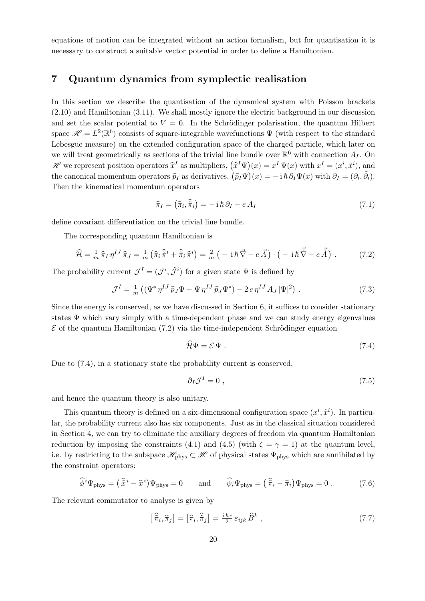equations of motion can be integrated without an action formalism, but for quantisation it is necessary to construct a suitable vector potential in order to define a Hamiltonian.

### <span id="page-19-0"></span>7 Quantum dynamics from symplectic realisation

In this section we describe the quantisation of the dynamical system with Poisson brackets [\(2.10\)](#page-5-0) and Hamiltonian [\(3.11\)](#page-9-1). We shall mostly ignore the electric background in our discussion and set the scalar potential to  $V = 0$ . In the Schrödinger polarisation, the quantum Hilbert space  $\mathscr{H} = L^2(\mathbb{R}^6)$  consists of square-integrable wavefunctions  $\Psi$  (with respect to the standard Lebesgue measure) on the extended configuration space of the charged particle, which later on we will treat geometrically as sections of the trivial line bundle over  $\mathbb{R}^6$  with connection  $A_I$ . On H we represent position operators  $\hat{x}^I$  as multipliers,  $(\hat{x}^I\Psi)(x) = x^I \Psi(x)$  with  $x^I = (x^i, \tilde{x}^i)$ , and the canonical momentum operators  $\hat{p}_I$  as derivatives,  $(\hat{p}_I \Psi)(x) = -i \hbar \partial_I \Psi(x)$  with  $\partial_I = (\partial_i, \tilde{\partial}_i)$ . Then the kinematical momentum operators

<span id="page-19-4"></span>
$$
\widehat{\pi}_I = (\widehat{\pi}_i, \widehat{\widehat{\pi}}_i) = -\mathrm{i}\,\hbar\,\partial_I - e\,A_I \tag{7.1}
$$

define covariant differentiation on the trivial line bundle.

The corresponding quantum Hamiltonian is

<span id="page-19-1"></span>
$$
\widehat{\mathcal{H}} = \frac{1}{m}\,\widehat{\pi}_I\,\eta^{IJ}\,\widehat{\pi}_J = \frac{1}{m}\left(\widehat{\pi}_i\,\widehat{\tilde{\pi}}^i + \widehat{\tilde{\pi}}_i\,\widehat{\pi}^i\right) = \frac{2}{m}\left(-\mathrm{i}\,\hbar\,\vec{\nabla} - e\,\vec{A}\right)\cdot\left(-\mathrm{i}\,\hbar\,\vec{\nabla} - e\,\vec{\tilde{A}}\right)\,. \tag{7.2}
$$

The probability current  $\mathcal{J}^I = (\mathcal{J}^i, \tilde{\mathcal{J}}^i)$  for a given state  $\Psi$  is defined by

$$
\mathcal{J}^I = \frac{1}{m} \left( \left( \Psi^* \eta^{IJ} \widehat{p}_J \Psi - \Psi \eta^{IJ} \widehat{p}_J \Psi^* \right) - 2 \, e \, \eta^{IJ} \, A_J \, |\Psi|^2 \right) \,. \tag{7.3}
$$

Since the energy is conserved, as we have discussed in Section [6,](#page-15-0) it suffices to consider stationary states  $\Psi$  which vary simply with a time-dependent phase and we can study energy eigenvalues  $\mathcal E$  of the quantum Hamiltonian [\(7.2\)](#page-19-1) via the time-independent Schrödinger equation

<span id="page-19-2"></span>
$$
\hat{\mathcal{H}}\Psi = \mathcal{E}\Psi \tag{7.4}
$$

Due to [\(7.4\)](#page-19-2), in a stationary state the probability current is conserved,

$$
\partial_I \mathcal{J}^I = 0 \tag{7.5}
$$

and hence the quantum theory is also unitary.

This quantum theory is defined on a six-dimensional configuration space  $(x^i, \tilde{x}^i)$ . In particular, the probability current also has six components. Just as in the classical situation considered in Section [4,](#page-9-0) we can try to eliminate the auxiliary degrees of freedom via quantum Hamiltonian reduction by imposing the constraints [\(4.1\)](#page-10-0) and [\(4.5\)](#page-10-2) (with  $\zeta = \gamma = 1$ ) at the quantum level, i.e. by restricting to the subspace  $\mathscr{H}_{\text{phys}} \subset \mathscr{H}$  of physical states  $\Psi_{\text{phys}}$  which are annihilated by the constraint operators:

<span id="page-19-3"></span>
$$
\widehat{\phi}^i \Psi_{\text{phys}} = (\widehat{x}^i - \widehat{x}^i) \Psi_{\text{phys}} = 0 \quad \text{and} \quad \widehat{\psi}_i \Psi_{\text{phys}} = (\widehat{\pi}_i - \widehat{\pi}_i) \Psi_{\text{phys}} = 0. \quad (7.6)
$$

The relevant commutator to analyse is given by

$$
\left[\hat{\tilde{\pi}}_i, \hat{\pi}_j\right] = \left[\hat{\pi}_i, \hat{\tilde{\pi}}_j\right] = \frac{\mathrm{i}\hbar e}{2} \,\varepsilon_{ijk} \,\hat{B}^k \,,\tag{7.7}
$$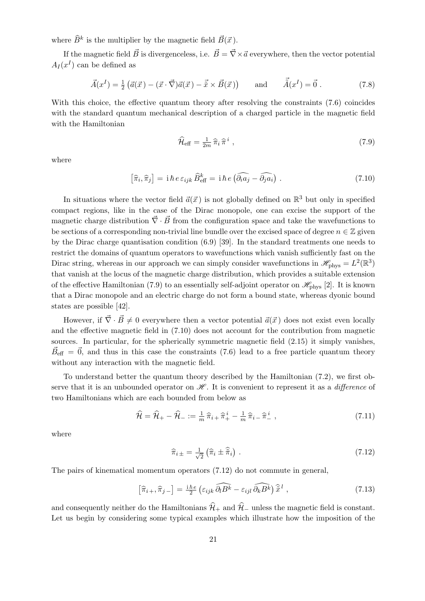where  $\widehat{B}^k$  is the multiplier by the magnetic field  $\vec{B}(\vec{x})$ .

If the magnetic field  $\vec{B}$  is divergenceless, i.e.  $\vec{B}=\vec{\nabla}\times\vec{a}$  everywhere, then the vector potential  $A_I(x^I)$  can be defined as

$$
\vec{A}(x^{I}) = \frac{1}{2} \left( \vec{a}(\vec{x}) - (\vec{x} \cdot \vec{\nabla}) \vec{a}(\vec{x}) - \vec{\tilde{x}} \times \vec{B}(\vec{x}) \right) \quad \text{and} \quad \vec{\tilde{A}}(x^{I}) = \vec{0} \,. \tag{7.8}
$$

With this choice, the effective quantum theory after resolving the constraints [\(7.6\)](#page-19-3) coincides with the standard quantum mechanical description of a charged particle in the magnetic field with the Hamiltonian

<span id="page-20-0"></span>
$$
\widehat{\mathcal{H}}_{\text{eff}} = \frac{1}{2m} \widehat{\pi}_i \widehat{\pi}^i , \qquad (7.9)
$$

where

<span id="page-20-1"></span>
$$
\left[\hat{\pi}_i, \hat{\pi}_j\right] = \mathrm{i}\,\hbar\,e\,\varepsilon_{ijk}\,\hat{B}_{\text{eff}}^k = \mathrm{i}\,\hbar\,e\,\left(\widehat{\partial_i a_j} - \widehat{\partial_j a_i}\right)\,. \tag{7.10}
$$

In situations where the vector field  $\vec{a}(\vec{x})$  is not globally defined on  $\mathbb{R}^3$  but only in specified compact regions, like in the case of the Dirac monopole, one can excise the support of the magnetic charge distribution  $\vec{\nabla} \cdot \vec{B}$  from the configuration space and take the wavefunctions to be sections of a corresponding non-trivial line bundle over the excised space of degree  $n \in \mathbb{Z}$  given by the Dirac charge quantisation condition [\(6.9\)](#page-16-1) [\[39\]](#page-37-0). In the standard treatments one needs to restrict the domains of quantum operators to wavefunctions which vanish sufficiently fast on the Dirac string, whereas in our approach we can simply consider wavefunctions in  $\mathscr{H}_{\text{phys}} = L^2(\mathbb{R}^3)$ that vanish at the locus of the magnetic charge distribution, which provides a suitable extension of the effective Hamiltonian [\(7.9\)](#page-20-0) to an essentially self-adjoint operator on  $\mathscr{H}_{\text{phys}}$  [\[2\]](#page-35-0). It is known that a Dirac monopole and an electric charge do not form a bound state, whereas dyonic bound states are possible [\[42\]](#page-37-6).

However, if  $\vec{\nabla} \cdot \vec{B} \neq 0$  everywhere then a vector potential  $\vec{a}(\vec{x})$  does not exist even locally and the effective magnetic field in [\(7.10\)](#page-20-1) does not account for the contribution from magnetic sources. In particular, for the spherically symmetric magnetic field [\(2.15\)](#page-6-1) it simply vanishes,  $\vec{B}_{\text{eff}} = \vec{0}$ , and thus in this case the constraints [\(7.6\)](#page-19-3) lead to a free particle quantum theory without any interaction with the magnetic field.

To understand better the quantum theory described by the Hamiltonian [\(7.2\)](#page-19-1), we first observe that it is an unbounded operator on  $\mathscr{H}$ . It is convenient to represent it as a *difference* of two Hamiltonians which are each bounded from below as

<span id="page-20-3"></span>
$$
\widehat{\mathcal{H}} = \widehat{\mathcal{H}}_{+} - \widehat{\mathcal{H}}_{-} := \frac{1}{m} \widehat{\pi}_{i+} \widehat{\pi}_{+}^{i} - \frac{1}{m} \widehat{\pi}_{i-} \widehat{\pi}_{-}^{i} , \qquad (7.11)
$$

where

<span id="page-20-2"></span>
$$
\widehat{\pi}_{i\,\pm} = \frac{1}{\sqrt{2}} \left( \widehat{\pi}_i \pm \widehat{\tilde{\pi}}_i \right) \,. \tag{7.12}
$$

The pairs of kinematical momentum operators [\(7.12\)](#page-20-2) do not commute in general,

$$
\left[\hat{\pi}_{i+},\hat{\pi}_{j-}\right] = \frac{\mathrm{i}\hbar e}{2} \left(\varepsilon_{ijk}\,\widehat{\partial_l B^k} - \varepsilon_{ijl}\,\widehat{\partial_k B^k}\right)\widehat{\tilde{x}}^l\;, \tag{7.13}
$$

and consequently neither do the Hamiltonians  $\hat{\mathcal{H}}_+$  and  $\hat{\mathcal{H}}_-$  unless the magnetic field is constant. Let us begin by considering some typical examples which illustrate how the imposition of the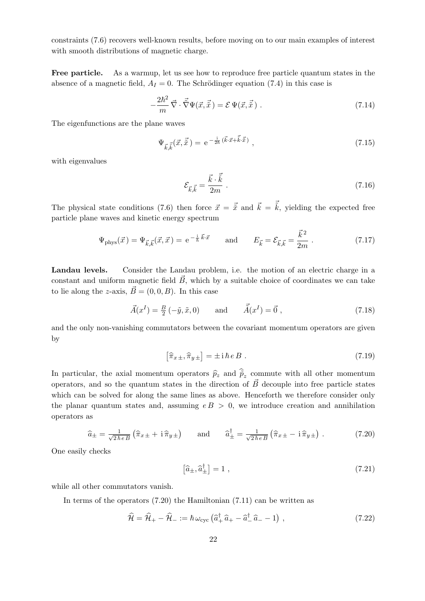constraints [\(7.6\)](#page-19-3) recovers well-known results, before moving on to our main examples of interest with smooth distributions of magnetic charge.

Free particle. As a warmup, let us see how to reproduce free particle quantum states in the absence of a magnetic field,  $A_I = 0$ . The Schrödinger equation [\(7.4\)](#page-19-2) in this case is

$$
-\frac{2\hbar^2}{m}\vec{\nabla}\cdot\vec{\tilde{\nabla}}\Psi(\vec{x},\vec{\tilde{x}}) = \mathcal{E}\Psi(\vec{x},\vec{\tilde{x}}).
$$
 (7.14)

The eigenfunctions are the plane waves

$$
\Psi_{\vec{k},\vec{\tilde{k}}}(\vec{x},\vec{\tilde{x}}) = e^{-\frac{i}{2\hbar}(\vec{k}\cdot\vec{x} + \vec{\tilde{k}}\cdot\vec{\tilde{x}})},
$$
\n(7.15)

with eigenvalues

$$
\mathcal{E}_{\vec{k},\vec{\tilde{k}}} = \frac{\vec{k}\cdot\vec{\tilde{k}}}{2m} \tag{7.16}
$$

The physical state conditions [\(7.6\)](#page-19-3) then force  $\vec{x} = \vec{\tilde{x}}$  and  $\vec{k} = \vec{\tilde{k}}$ , yielding the expected free particle plane waves and kinetic energy spectrum

$$
\Psi_{\rm phys}(\vec{x}) = \Psi_{\vec{k},\vec{k}}(\vec{x},\vec{x}) = e^{-\frac{i}{\hbar}\vec{k}\cdot\vec{x}} \quad \text{and} \quad E_{\vec{k}} = \mathcal{E}_{\vec{k},\vec{k}} = \frac{\vec{k}^2}{2m} \,. \tag{7.17}
$$

Landau levels. Consider the Landau problem, i.e. the motion of an electric charge in a constant and uniform magnetic field  $\vec{B}$ , which by a suitable choice of coordinates we can take to lie along the z-axis,  $\vec{B} = (0, 0, B)$ . In this case

$$
\vec{A}(x^{I}) = \frac{B}{2}(-\tilde{y}, \tilde{x}, 0)
$$
 and  $\vec{\tilde{A}}(x^{I}) = \vec{0}$ , (7.18)

and the only non-vanishing commutators between the covariant momentum operators are given by

$$
\left[\hat{\pi}_{x\pm},\hat{\pi}_{y\pm}\right]=\pm i\,\hbar\,e\,B\ .\tag{7.19}
$$

In particular, the axial momentum operators  $\hat{p}_z$  and  $\tilde{p}_z$  commute with all other momentum operators, and so the quantum states in the direction of  $\vec{B}$  decouple into free particle states which can be solved for along the same lines as above. Henceforth we therefore consider only the planar quantum states and, assuming  $e B > 0$ , we introduce creation and annihilation operators as

<span id="page-21-0"></span>
$$
\widehat{a}_{\pm} = \frac{1}{\sqrt{2\hbar e B}} \left( \widehat{\pi}_{x\pm} + \mathbf{i} \,\widehat{\pi}_{y\,\pm} \right) \qquad \text{and} \qquad \widehat{a}_{\pm}^{\dagger} = \frac{1}{\sqrt{2\hbar e B}} \left( \widehat{\pi}_{x\,\pm} - \mathbf{i} \,\widehat{\pi}_{y\,\pm} \right) \,. \tag{7.20}
$$

One easily checks

$$
\left[\hat{a}_{\pm}, \hat{a}_{\pm}^{\dagger}\right] = 1\tag{7.21}
$$

while all other commutators vanish.

In terms of the operators [\(7.20\)](#page-21-0) the Hamiltonian [\(7.11\)](#page-20-3) can be written as

<span id="page-21-1"></span>
$$
\widehat{\mathcal{H}} = \widehat{\mathcal{H}}_{+} - \widehat{\mathcal{H}}_{-} := \hbar \,\omega_{\text{cyc}} \left( \widehat{a}_{+}^{\dagger} \,\widehat{a}_{+} - \widehat{a}_{-}^{\dagger} \,\widehat{a}_{-} - 1 \right) \,, \tag{7.22}
$$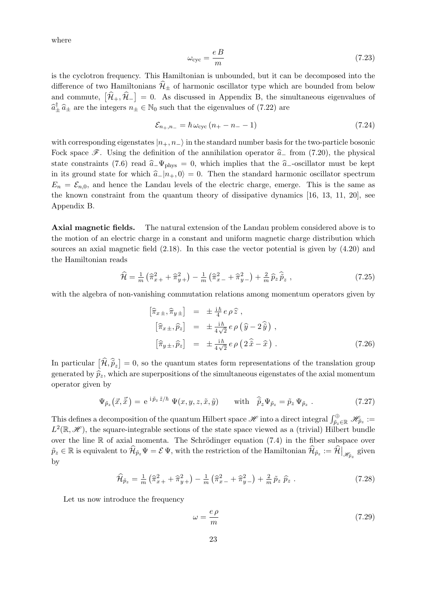where

$$
\omega_{\rm cyc} = \frac{e \, B}{m} \tag{7.23}
$$

is the cyclotron frequency. This Hamiltonian is unbounded, but it can be decomposed into the difference of two Hamiltonians  $\hat{\mathcal{H}}_{\pm}$  of harmonic oscillator type which are bounded from below and commute,  $[\hat{\mathcal{H}}_+, \hat{\mathcal{H}}_-] = 0$ . As discussed in Appendix [B,](#page-33-0) the simultaneous eigenvalues of  $\hat{a}_{\pm}^{\dagger} \hat{a}_{\pm}$  are the integers  $n_{\pm} \in \mathbb{N}_0$  such that the eigenvalues of [\(7.22\)](#page-21-1) are

$$
\mathcal{E}_{n_+,n_-} = \hbar \,\omega_{\text{cyc}} \,(n_+ - n_- - 1) \tag{7.24}
$$

with corresponding eigenstates  $|n_+, n_-\rangle$  in the standard number basis for the two-particle bosonic Fock space  $\mathscr F$ . Using the definition of the annihilation operator  $\hat a_+$  from [\(7.20\)](#page-21-0), the physical state constraints [\(7.6\)](#page-19-3) read  $\hat{a}_-\Psi_{\text{phys}} = 0$ , which implies that the  $\hat{a}_-$ -oscillator must be kept in its ground state for which  $\hat{a}-|n+0\rangle = 0$ . Then the standard harmonic oscillator spectrum  $E_n = \mathcal{E}_{n,0}$ , and hence the Landau levels of the electric charge, emerge. This is the same as the known constraint from the quantum theory of dissipative dynamics [\[16,](#page-36-9) [13,](#page-36-10) [11,](#page-36-11) [20\]](#page-36-12), see Appendix [B.](#page-33-0)

Axial magnetic fields. The natural extension of the Landau problem considered above is to the motion of an electric charge in a constant and uniform magnetic charge distribution which sources an axial magnetic field [\(2.18\)](#page-6-2). In this case the vector potential is given by [\(4.20\)](#page-12-4) and the Hamiltonian reads

$$
\widehat{\mathcal{H}} = \frac{1}{m} \left( \widehat{\pi}_{x+}^2 + \widehat{\pi}_{y+}^2 \right) - \frac{1}{m} \left( \widehat{\pi}_{x-}^2 + \widehat{\pi}_{y-}^2 \right) + \frac{2}{m} \widehat{p}_z \widehat{\tilde{p}}_z , \qquad (7.25)
$$

with the algebra of non-vanishing commutation relations among momentum operators given by

$$
\begin{aligned}\n\left[\hat{\pi}_{x\pm}, \hat{\pi}_{y\pm}\right] &= \pm \frac{\mathrm{i}\hbar}{4} e \,\rho \,\hat{z} \,, \\
\left[\hat{\pi}_{x\pm}, \hat{p}_z\right] &= \pm \frac{\mathrm{i}\hbar}{4\sqrt{2}} e \,\rho \left(\hat{y} - 2\,\hat{\hat{y}}\right) \,, \\
\left[\hat{\pi}_{y\pm}, \hat{p}_z\right] &= \pm \frac{\mathrm{i}\hbar}{4\sqrt{2}} e \,\rho \left(2\,\hat{\bar{x}} - \hat{x}\right) \,.\n\end{aligned} \tag{7.26}
$$

In particular  $[\hat{\mathcal{H}}, \hat{\tilde{p}}_z] = 0$ , so the quantum states form representations of the translation group generated by  $\hat{p}_z$ , which are superpositions of the simultaneous eigenstates of the axial momentum operator given by

$$
\Psi_{\tilde{p}_z}(\vec{x}, \vec{\tilde{x}}) = e^{i\tilde{p}_z \tilde{z}/\hbar} \Psi(x, y, z, \tilde{x}, \tilde{y}) \quad \text{with} \quad \hat{\tilde{p}}_z \Psi_{\tilde{p}_z} = \tilde{p}_z \Psi_{\tilde{p}_z} . \tag{7.27}
$$

This defines a decomposition of the quantum Hilbert space  $\mathscr H$  into a direct integral  $\int_{\tilde p_z\in\mathbb R}^\oplus\mathscr H_{\tilde p_z}:=$  $L^2(\mathbb{R},\mathcal{H})$ , the square-integrable sections of the state space viewed as a (trivial) Hilbert bundle over the line  $\mathbb R$  of axial momenta. The Schrödinger equation [\(7.4\)](#page-19-2) in the fiber subspace over  $\tilde{p}_z \in \mathbb{R}$  is equivalent to  $\widehat{\mathcal{H}}_{\tilde{p}_z} \Psi = \mathcal{E} \Psi$ , with the restriction of the Hamiltonian  $\widehat{\mathcal{H}}_{\tilde{p}_z} := \widehat{\mathcal{H}}|_{\mathscr{H}_{\tilde{p}_z}}$  given by

<span id="page-22-0"></span>
$$
\widehat{\mathcal{H}}_{\tilde{p}_z} = \frac{1}{m} \left( \widehat{\pi}_{x+}^2 + \widehat{\pi}_{y+}^2 \right) - \frac{1}{m} \left( \widehat{\pi}_{x-}^2 + \widehat{\pi}_{y-}^2 \right) + \frac{2}{m} \, \tilde{p}_z \, \widehat{p}_z \ . \tag{7.28}
$$

Let us now introduce the frequency

$$
\omega = \frac{e \,\rho}{m} \tag{7.29}
$$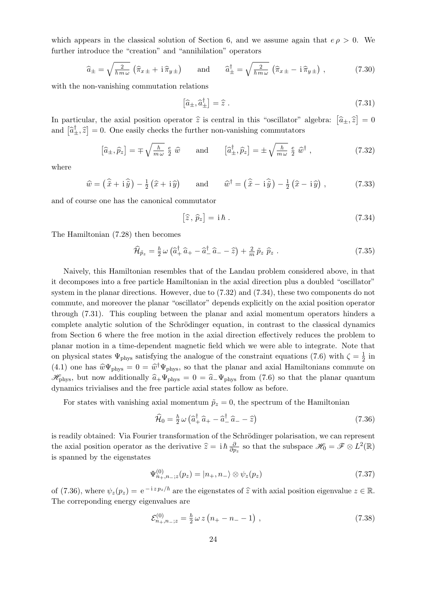which appears in the classical solution of Section [6,](#page-15-0) and we assume again that  $e \rho > 0$ . We further introduce the "creation" and "annihilation" operators

$$
\hat{a}_{\pm} = \sqrt{\frac{2}{\hbar m \omega}} \left( \hat{\pi}_{x \pm} + i \, \hat{\pi}_{y \pm} \right) \quad \text{and} \quad \hat{a}_{\pm}^{\dagger} = \sqrt{\frac{2}{\hbar m \omega}} \left( \hat{\pi}_{x \pm} - i \, \hat{\pi}_{y \pm} \right) \,, \tag{7.30}
$$

with the non-vanishing commutation relations

<span id="page-23-2"></span>
$$
\left[\hat{a}_{\pm}, \hat{a}_{\pm}^{\dagger}\right] = \hat{z} \tag{7.31}
$$

In particular, the axial position operator  $\hat{z}$  is central in this "oscillator" algebra:  $[\hat{a}_{\pm}, \hat{z}] = 0$ and  $\left[\hat{a}^{\dagger}_{\pm}, \hat{z}\right] = 0$ . One easily checks the further non-vanishing commutators

<span id="page-23-0"></span>
$$
\left[\hat{a}_{\pm}, \hat{p}_z\right] = \mp \sqrt{\frac{\hbar}{m\,\omega}} \frac{e}{2} \,\hat{w} \qquad \text{and} \qquad \left[\hat{a}_{\pm}^{\dagger}, \hat{p}_z\right] = \pm \sqrt{\frac{\hbar}{m\,\omega}} \frac{e}{2} \,\hat{w}^{\dagger} \,, \tag{7.32}
$$

where

$$
\widehat{w} = (\widehat{\tilde{x}} + i\widehat{\tilde{y}}) - \frac{1}{2} (\widehat{x} + i\widehat{y}) \quad \text{and} \quad \widehat{w}^{\dagger} = (\widehat{\tilde{x}} - i\widehat{\tilde{y}}) - \frac{1}{2} (\widehat{x} - i\widehat{y}), \quad (7.33)
$$

and of course one has the canonical commutator

<span id="page-23-1"></span>
$$
\left[\hat{z}, \hat{p}_z\right] = \mathrm{i}\,\hbar\,. \tag{7.34}
$$

The Hamiltonian [\(7.28\)](#page-22-0) then becomes

<span id="page-23-4"></span>
$$
\widehat{\mathcal{H}}_{\tilde{p}_z} = \frac{\hbar}{2} \omega \left( \widehat{a}_+^\dagger \widehat{a}_+ - \widehat{a}_-^\dagger \widehat{a}_- - \widehat{z} \right) + \frac{2}{m} \, \tilde{p}_z \, \widehat{p}_z \; . \tag{7.35}
$$

Naively, this Hamiltonian resembles that of the Landau problem considered above, in that it decomposes into a free particle Hamiltonian in the axial direction plus a doubled "oscillator" system in the planar directions. However, due to [\(7.32\)](#page-23-0) and [\(7.34\)](#page-23-1), these two components do not commute, and moreover the planar "oscillator" depends explicitly on the axial position operator through [\(7.31\)](#page-23-2). This coupling between the planar and axial momentum operators hinders a complete analytic solution of the Schrödinger equation, in contrast to the classical dynamics from Section [6](#page-15-0) where the free motion in the axial direction effectively reduces the problem to planar motion in a time-dependent magnetic field which we were able to integrate. Note that on physical states  $\Psi_{\rm phys}$  satisfying the analogue of the constraint equations [\(7.6\)](#page-19-3) with  $\zeta = \frac{1}{2}$  $rac{1}{2}$  in [\(4.1\)](#page-10-0) one has  $\hat{w}\Psi_{\text{phys}} = 0 = \hat{w}^{\dagger}\Psi_{\text{phys}}$ , so that the planar and axial Hamiltonians commute on  $\mathscr{H}_{\text{phys}}$ , but now additionally  $\hat{a}_+\Psi_{\text{phys}} = 0 = \hat{a}_-\Psi_{\text{phys}}$  from [\(7.6\)](#page-19-3) so that the planar quantum dynamics trivialises and the free particle axial states follow as before.

For states with vanishing axial momentum  $\tilde{p}_z = 0$ , the spectrum of the Hamiltonian

<span id="page-23-3"></span>
$$
\widehat{\mathcal{H}}_0 = \frac{\hbar}{2} \omega \left( \widehat{a}_+^{\dagger} \widehat{a}_+ - \widehat{a}_-^{\dagger} \widehat{a}_- - \widehat{z} \right) \tag{7.36}
$$

is readily obtained: Via Fourier transformation of the Schrödinger polarisation, we can represent the axial position operator as the derivative  $\hat{z} = i \hbar \frac{\partial}{\partial p}$  $\frac{\partial}{\partial p_z}$  so that the subspace  $\mathscr{H}_0 = \mathscr{F} \otimes L^2(\mathbb{R})$ is spanned by the eigenstates

$$
\Psi_{n_+,n_-;z}^{(0)}(p_z) = |n_+,n_-\rangle \otimes \psi_z(p_z)
$$
\n(7.37)

of [\(7.36\)](#page-23-3), where  $\psi_z(p_z) = e^{-i z p_z/\hbar}$  are the eigenstates of  $\hat{z}$  with axial position eigenvalue  $z \in \mathbb{R}$ . The correponding energy eigenvalues are

<span id="page-23-5"></span>
$$
\mathcal{E}_{n_{+},n_{-};z}^{(0)} = \frac{\hbar}{2} \omega z (n_{+} - n_{-} - 1) , \qquad (7.38)
$$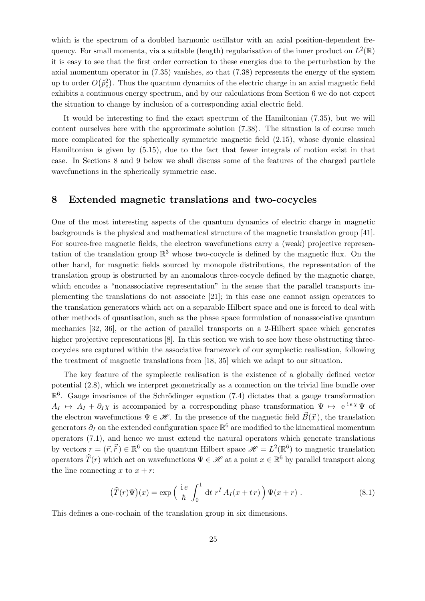which is the spectrum of a doubled harmonic oscillator with an axial position-dependent frequency. For small momenta, via a suitable (length) regularisation of the inner product on  $L^2(\mathbb{R})$ it is easy to see that the first order correction to these energies due to the perturbation by the axial momentum operator in [\(7.35\)](#page-23-4) vanishes, so that [\(7.38\)](#page-23-5) represents the energy of the system up to order  $O(\tilde{p}_z^2)$ . Thus the quantum dynamics of the electric charge in an axial magnetic field exhibits a continuous energy spectrum, and by our calculations from Section [6](#page-15-0) we do not expect the situation to change by inclusion of a corresponding axial electric field.

It would be interesting to find the exact spectrum of the Hamiltonian [\(7.35\)](#page-23-4), but we will content ourselves here with the approximate solution [\(7.38\)](#page-23-5). The situation is of course much more complicated for the spherically symmetric magnetic field [\(2.15\)](#page-6-1), whose dyonic classical Hamiltonian is given by [\(5.15\)](#page-15-2), due to the fact that fewer integrals of motion exist in that case. In Sections [8](#page-24-0) and [9](#page-27-0) below we shall discuss some of the features of the charged particle wavefunctions in the spherically symmetric case.

#### <span id="page-24-0"></span>8 Extended magnetic translations and two-cocycles

One of the most interesting aspects of the quantum dynamics of electric charge in magnetic backgrounds is the physical and mathematical structure of the magnetic translation group [\[41\]](#page-37-7). For source-free magnetic fields, the electron wavefunctions carry a (weak) projective representation of the translation group  $\mathbb{R}^3$  whose two-cocycle is defined by the magnetic flux. On the other hand, for magnetic fields sourced by monopole distributions, the representation of the translation group is obstructed by an anomalous three-cocycle defined by the magnetic charge, which encodes a "nonassociative representation" in the sense that the parallel transports implementing the translations do not associate [\[21\]](#page-36-13); in this case one cannot assign operators to the translation generators which act on a separable Hilbert space and one is forced to deal with other methods of quantisation, such as the phase space formulation of nonassociative quantum mechanics [\[32,](#page-37-2) [36\]](#page-37-5), or the action of parallel transports on a 2-Hilbert space which generates higher projective representations [\[8\]](#page-35-5). In this section we wish to see how these obstructing threecocycles are captured within the associative framework of our symplectic realisation, following the treatment of magnetic translations from [\[18,](#page-36-14) [35\]](#page-37-8) which we adapt to our situation.

The key feature of the symplectic realisation is the existence of a globally defined vector potential [\(2.8\)](#page-5-3), which we interpret geometrically as a connection on the trivial line bundle over  $\mathbb{R}^6$ . Gauge invariance of the Schrödinger equation [\(7.4\)](#page-19-2) dictates that a gauge transformation  $A_I \mapsto A_I + \partial_I \chi$  is accompanied by a corresponding phase transformation  $\Psi \mapsto e^{i\epsilon \chi} \Psi$  of the electron wavefunctions  $\Psi \in \mathcal{H}$ . In the presence of the magnetic field  $\vec{B}(\vec{x})$ , the translation generators  $\partial_I$  on the extended configuration space  $\mathbb{R}^6$  are modified to the kinematical momentum operators [\(7.1\)](#page-19-4), and hence we must extend the natural operators which generate translations by vectors  $r = (\vec{r}, \vec{\tilde{r}}) \in \mathbb{R}^6$  on the quantum Hilbert space  $\mathscr{H} = L^2(\mathbb{R}^6)$  to magnetic translation operators  $\widehat{T}(r)$  which act on wavefunctions  $\Psi \in \mathcal{H}$  at a point  $x \in \mathbb{R}^6$  by parallel transport along the line connecting x to  $x + r$ :

<span id="page-24-1"></span>
$$
\left(\widehat{T}(r)\Psi\right)(x) = \exp\left(\frac{\mathrm{i}e}{\hbar} \int_0^1 \mathrm{d}t \; r^I \, A_I(x+t\,r)\right) \Psi(x+r) \; . \tag{8.1}
$$

This defines a one-cochain of the translation group in six dimensions.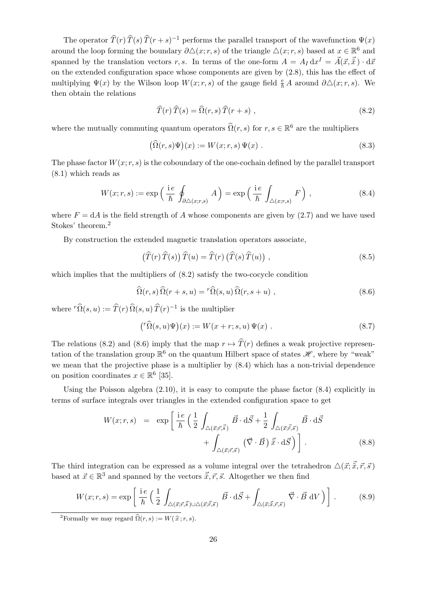The operator  $\widehat{T}(r) \widehat{T}(s) \widehat{T}(r + s)^{-1}$  performs the parallel transport of the wavefunction  $\Psi(x)$ around the loop forming the boundary  $\partial \Delta(x; r, s)$  of the triangle  $\Delta(x; r, s)$  based at  $x \in \mathbb{R}^6$  and spanned by the translation vectors r, s. In terms of the one-form  $A = A_I dx^I = \vec{A}(\vec{x}, \vec{\tilde{x}}) \cdot d\vec{x}$ on the extended configuration space whose components are given by [\(2.8\)](#page-5-3), this has the effect of multiplying  $\Psi(x)$  by the Wilson loop  $W(x; r, s)$  of the gauge field  $\frac{e}{\hbar}A$  around  $\partial \Delta(x; r, s)$ . We then obtain the relations

<span id="page-25-1"></span>
$$
\widehat{T}(r)\widehat{T}(s) = \widehat{\Omega}(r,s)\widehat{T}(r+s) , \qquad (8.2)
$$

where the mutually commuting quantum operators  $\widehat{\Omega}(r, s)$  for  $r, s \in \mathbb{R}^6$  are the multipliers

<span id="page-25-5"></span>
$$
(\hat{\Omega}(r,s)\Psi)(x) := W(x;r,s)\Psi(x) .
$$
\n(8.3)

The phase factor  $W(x; r, s)$  is the coboundary of the one-cochain defined by the parallel transport [\(8.1\)](#page-24-1) which reads as

<span id="page-25-3"></span>
$$
W(x;r,s) := \exp\left(\frac{ie}{\hbar} \oint_{\partial \Delta(x;r,s)} A\right) = \exp\left(\frac{ie}{\hbar} \int_{\Delta(x;r,s)} F\right),\tag{8.4}
$$

where  $F = dA$  is the field strength of A whose components are given by [\(2.7\)](#page-5-5) and we have used Stokes' theorem.[2](#page-25-0)

By construction the extended magnetic translation operators associate,

$$
\left(\widehat{T}(r)\,\widehat{T}(s)\right)\widehat{T}(u) = \widehat{T}(r)\left(\widehat{T}(s)\,\widehat{T}(u)\right)\,,\tag{8.5}
$$

which implies that the multipliers of  $(8.2)$  satisfy the two-cocycle condition

<span id="page-25-2"></span>
$$
\widehat{\Omega}(r,s)\,\widehat{\Omega}(r+s,u) = \,^r \widehat{\Omega}(s,u)\,\widehat{\Omega}(r,s+u) \;, \tag{8.6}
$$

where  ${}^{r}\widehat{\Omega}(s, u) := \widehat{T}(r) \widehat{\Omega}(s, u) \widehat{T}(r)^{-1}$  is the multiplier

$$
(^{r}\widehat{\Omega}(s,u)\Psi)(x) := W(x+r;s,u)\Psi(x) .
$$
\n(8.7)

The relations [\(8.2\)](#page-25-1) and [\(8.6\)](#page-25-2) imply that the map  $r \mapsto \hat{T}(r)$  defines a weak projective representation of the translation group  $\mathbb{R}^6$  on the quantum Hilbert space of states  $\mathscr{H}$ , where by "weak" we mean that the projective phase is a multiplier by [\(8.4\)](#page-25-3) which has a non-trivial dependence on position coordinates  $x \in \mathbb{R}^6$  [\[35\]](#page-37-8).

Using the Poisson algebra  $(2.10)$ , it is easy to compute the phase factor  $(8.4)$  explicitly in terms of surface integrals over triangles in the extended configuration space to get

$$
W(x; r, s) = \exp\left[\frac{\mathrm{i} e}{\hbar} \left(\frac{1}{2} \int_{\triangle(\vec{x}; \vec{r}, \vec{s})} \vec{B} \cdot \mathrm{d}\vec{S} + \frac{1}{2} \int_{\triangle(\vec{x}; \vec{r}, \vec{s})} \vec{B} \cdot \mathrm{d}\vec{S} + \int_{\triangle(\vec{x}; \vec{r}, \vec{s})} (\vec{\nabla} \cdot \vec{B}) \vec{x} \cdot \mathrm{d}\vec{S} \right) \right].
$$
 (8.8)

The third integration can be expressed as a volume integral over the tetrahedron  $\Delta(\vec{x}; \vec{x}, \vec{r}, \vec{s})$ based at  $\vec{x} \in \mathbb{R}^3$  and spanned by the vectors  $\vec{\tilde{x}}, \vec{r}, \vec{s}$ . Altogether we then find

<span id="page-25-4"></span>
$$
W(x; r, s) = \exp\left[\frac{\mathrm{i} e}{\hbar} \left(\frac{1}{2} \int_{\triangle(\vec{x}; \vec{r}, \vec{s}) \cup \triangle(\vec{x}; \vec{r}, \vec{s})} \vec{B} \cdot \mathrm{d}\vec{S} + \int_{\triangle(\vec{x}; \vec{x}, \vec{r}, \vec{s})} \vec{\nabla} \cdot \vec{B} \, \mathrm{d}V\right)\right].
$$
 (8.9)

<span id="page-25-0"></span><sup>2</sup>Formally we may regard  $\widehat{\Omega}(r, s) := W(\widehat{x}; r, s)$ .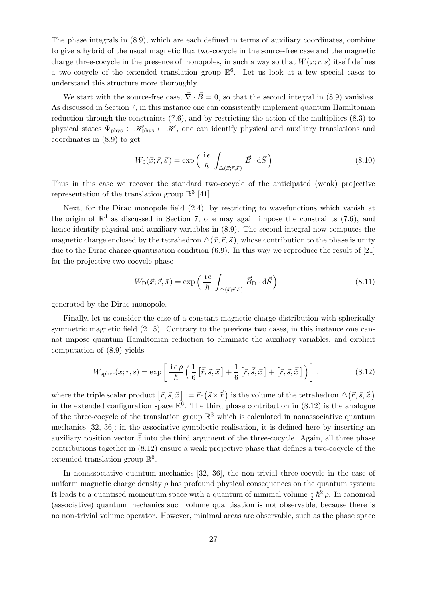The phase integrals in [\(8.9\)](#page-25-4), which are each defined in terms of auxiliary coordinates, combine to give a hybrid of the usual magnetic flux two-cocycle in the source-free case and the magnetic charge three-cocycle in the presence of monopoles, in such a way so that  $W(x; r, s)$  itself defines a two-cocycle of the extended translation group  $\mathbb{R}^6$ . Let us look at a few special cases to understand this structure more thoroughly.

We start with the source-free case,  $\vec{\nabla} \cdot \vec{B} = 0$ , so that the second integral in [\(8.9\)](#page-25-4) vanishes. As discussed in Section [7,](#page-19-0) in this instance one can consistently implement quantum Hamiltonian reduction through the constraints [\(7.6\)](#page-19-3), and by restricting the action of the multipliers [\(8.3\)](#page-25-5) to physical states  $\Psi_{\text{phys}} \in \mathcal{H}_{\text{phys}} \subset \mathcal{H}$ , one can identify physical and auxiliary translations and coordinates in [\(8.9\)](#page-25-4) to get

$$
W_0(\vec{x}; \vec{r}, \vec{s}) = \exp\left(\frac{\mathrm{i} e}{\hbar} \int_{\Delta(\vec{x}; \vec{r}, \vec{s})} \vec{B} \cdot \mathrm{d}\vec{S}\right). \tag{8.10}
$$

Thus in this case we recover the standard two-cocycle of the anticipated (weak) projective representation of the translation group  $\mathbb{R}^3$  [\[41\]](#page-37-7).

Next, for the Dirac monopole field [\(2.4\)](#page-4-5), by restricting to wavefunctions which vanish at the origin of  $\mathbb{R}^3$  as discussed in Section [7,](#page-19-0) one may again impose the constraints [\(7.6\)](#page-19-3), and hence identify physical and auxiliary variables in  $(8.9)$ . The second integral now computes the magnetic charge enclosed by the tetrahedron  $\Delta(\vec{x}, \vec{r}, \vec{s})$ , whose contribution to the phase is unity due to the Dirac charge quantisation condition [\(6.9\)](#page-16-1). In this way we reproduce the result of [\[21\]](#page-36-13) for the projective two-cocycle phase

$$
W_{\mathcal{D}}(\vec{x}; \vec{r}, \vec{s}) = \exp\left(\frac{\mathrm{i} e}{\hbar} \int_{\triangle(\vec{x}; \vec{r}, \vec{s})} \vec{B}_{\mathcal{D}} \cdot \mathrm{d}\vec{S}\right) \tag{8.11}
$$

generated by the Dirac monopole.

Finally, let us consider the case of a constant magnetic charge distribution with spherically symmetric magnetic field [\(2.15\)](#page-6-1). Contrary to the previous two cases, in this instance one cannot impose quantum Hamiltonian reduction to eliminate the auxiliary variables, and explicit computation of [\(8.9\)](#page-25-4) yields

<span id="page-26-0"></span>
$$
W_{\text{spher}}(x; r, s) = \exp\left[\frac{\mathrm{i} e \rho}{\hbar} \left(\frac{1}{6} \left[\vec{r}, \vec{s}, \vec{x}\right] + \frac{1}{6} \left[\vec{r}, \vec{\tilde{s}}, \vec{x}\right] + \left[\vec{r}, \vec{s}, \vec{\tilde{x}}\right]\right)\right],\tag{8.12}
$$

where the triple scalar product  $[\vec{r}, \vec{s}, \vec{\tilde{x}}] := \vec{r} \cdot (\vec{s} \times \vec{\tilde{x}})$  is the volume of the tetrahedron  $\Delta(\vec{r}, \vec{s}, \vec{\tilde{x}})$ in the extended configuration space  $\mathbb{R}^6$ . The third phase contribution in [\(8.12\)](#page-26-0) is the analogue of the three-cocycle of the translation group  $\mathbb{R}^3$  which is calculated in nonassociative quantum mechanics [\[32,](#page-37-2) [36\]](#page-37-5); in the associative symplectic realisation, it is defined here by inserting an auxiliary position vector  $\vec{x}$  into the third argument of the three-cocycle. Again, all three phase contributions together in [\(8.12\)](#page-26-0) ensure a weak projective phase that defines a two-cocycle of the extended translation group  $\mathbb{R}^6$ .

In nonassociative quantum mechanics [\[32,](#page-37-2) [36\]](#page-37-5), the non-trivial three-cocycle in the case of uniform magnetic charge density  $\rho$  has profound physical consequences on the quantum system: It leads to a quantised momentum space with a quantum of minimal volume  $\frac{1}{2} \hbar^2 \rho$ . In canonical (associative) quantum mechanics such volume quantisation is not observable, because there is no non-trivial volume operator. However, minimal areas are observable, such as the phase space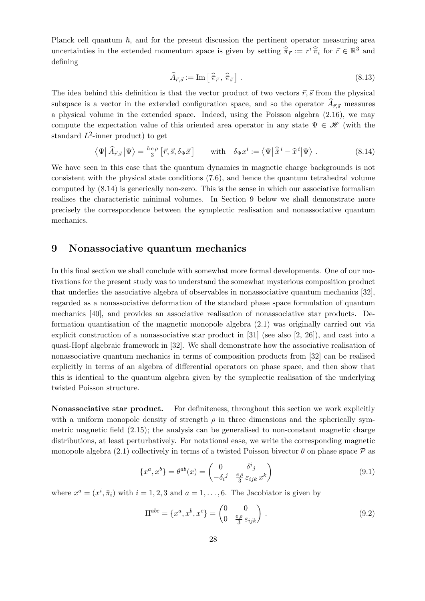Planck cell quantum  $\hbar$ , and for the present discussion the pertinent operator measuring area uncertainties in the extended momentum space is given by setting  $\hat{\pi}_{\vec{r}} := r^i \hat{\pi}_i$  for  $\vec{r} \in \mathbb{R}^3$  and defining

$$
\widehat{A}_{\vec{r},\vec{s}} := \operatorname{Im}\left[\,\widehat{\bar{\pi}}_{\vec{r}},\,\widehat{\bar{\pi}}_{\vec{s}}\,\right] \,. \tag{8.13}
$$

The idea behind this definition is that the vector product of two vectors  $\vec{r}, \vec{s}$  from the physical subspace is a vector in the extended configuration space, and so the operator  $A_{\vec{r}, \vec{s}}$  measures a physical volume in the extended space. Indeed, using the Poisson algebra [\(2.16\)](#page-6-4), we may compute the expectation value of this oriented area operator in any state  $\Psi \in \mathcal{H}$  (with the standard  $L^2$ -inner product) to get

<span id="page-27-1"></span>
$$
\langle \Psi | \hat{A}_{\vec{r},\vec{s}} | \Psi \rangle = \frac{\hbar e \rho}{3} [\vec{r}, \vec{s}, \delta \Psi \vec{x}] \quad \text{with} \quad \delta \Psi \vec{x}^i := \langle \Psi | \hat{\vec{x}}^i - \hat{x}^i | \Psi \rangle \,. \tag{8.14}
$$

We have seen in this case that the quantum dynamics in magnetic charge backgrounds is not consistent with the physical state conditions [\(7.6\)](#page-19-3), and hence the quantum tetrahedral volume computed by [\(8.14\)](#page-27-1) is generically non-zero. This is the sense in which our associative formalism realises the characteristic minimal volumes. In Section [9](#page-27-0) below we shall demonstrate more precisely the correspondence between the symplectic realisation and nonassociative quantum mechanics.

## <span id="page-27-0"></span>9 Nonassociative quantum mechanics

In this final section we shall conclude with somewhat more formal developments. One of our motivations for the present study was to understand the somewhat mysterious composition product that underlies the associative algebra of observables in nonassociative quantum mechanics [\[32\]](#page-37-2), regarded as a nonassociative deformation of the standard phase space formulation of quantum mechanics [\[40\]](#page-37-9), and provides an associative realisation of nonassociative star products. Deformation quantisation of the magnetic monopole algebra [\(2.1\)](#page-4-1) was originally carried out via explicit construction of a nonassociative star product in [\[31\]](#page-36-4) (see also [\[2,](#page-35-0) [26\]](#page-36-5)), and cast into a quasi-Hopf algebraic framework in [\[32\]](#page-37-2). We shall demonstrate how the associative realisation of nonassociative quantum mechanics in terms of composition products from [\[32\]](#page-37-2) can be realised explicitly in terms of an algebra of differential operators on phase space, and then show that this is identical to the quantum algebra given by the symplectic realisation of the underlying twisted Poisson structure.

Nonassociative star product. For definiteness, throughout this section we work explicitly with a uniform monopole density of strength  $\rho$  in three dimensions and the spherically symmetric magnetic field [\(2.15\)](#page-6-1); the analysis can be generalised to non-constant magnetic charge distributions, at least perturbatively. For notational ease, we write the corresponding magnetic monopole algebra [\(2.1\)](#page-4-1) collectively in terms of a twisted Poisson bivector  $\theta$  on phase space  $\mathcal P$  as

$$
\{x^a, x^b\} = \theta^{ab}(x) = \begin{pmatrix} 0 & \delta^i{}_j \\ -\delta_i{}_j & \frac{e\rho}{3} \varepsilon_{ijk} x^k \end{pmatrix}
$$
 (9.1)

where  $x^a = (x^i, \overline{\pi}_i)$  with  $i = 1, 2, 3$  and  $a = 1, ..., 6$ . The Jacobiator is given by

$$
\Pi^{abc} = \{x^a, x^b, x^c\} = \begin{pmatrix} 0 & 0 \\ 0 & \frac{e\rho}{3} \varepsilon_{ijk} \end{pmatrix} . \tag{9.2}
$$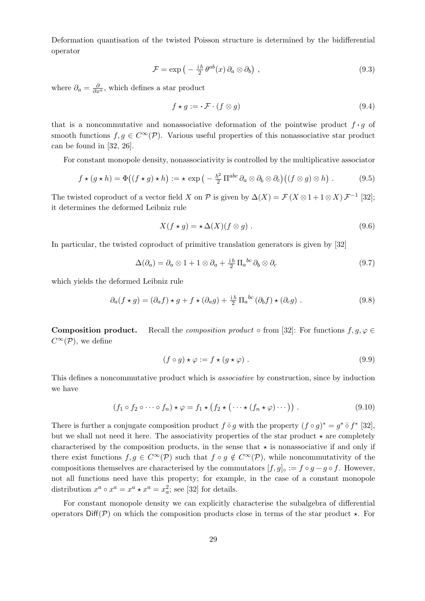Deformation quantisation of the twisted Poisson structure is determined by the bidifferential operator

$$
\mathcal{F} = \exp\left(-\frac{\mathrm{i}\hbar}{2}\theta^{ab}(x)\,\partial_a\otimes\partial_b\right) \,,\tag{9.3}
$$

where  $\partial_a = \frac{\partial}{\partial x^a}$ , which defines a star product

$$
f \star g := \cdot \mathcal{F} \cdot (f \otimes g) \tag{9.4}
$$

that is a noncommutative and nonassociative deformation of the pointwise product  $f \cdot g$  of smooth functions  $f, g \in C^{\infty}(\mathcal{P})$ . Various useful properties of this nonassociative star product can be found in [\[32,](#page-37-2) [26\]](#page-36-5).

For constant monopole density, nonassociativity is controlled by the multiplicative associator

<span id="page-28-1"></span>
$$
f \star (g \star h) = \Phi((f \star g) \star h) := \star \exp\left(-\frac{\hbar^2}{2} \Pi^{abc} \partial_a \otimes \partial_b \otimes \partial_c\right) ((f \otimes g) \otimes h) . \tag{9.5}
$$

The twisted coproduct of a vector field X on P is given by  $\Delta(X) = \mathcal{F}(X \otimes 1 + 1 \otimes X) \mathcal{F}^{-1}$  [\[32\]](#page-37-2); it determines the deformed Leibniz rule

$$
X(f \star g) = \star \Delta(X)(f \otimes g) . \tag{9.6}
$$

In particular, the twisted coproduct of primitive translation generators is given by [\[32\]](#page-37-2)

$$
\Delta(\partial_a) = \partial_a \otimes 1 + 1 \otimes \partial_a + \frac{\mathrm{i}\hbar}{2} \Pi_a{}^{bc} \partial_b \otimes \partial_c \tag{9.7}
$$

which yields the deformed Leibniz rule

<span id="page-28-2"></span>
$$
\partial_a(f \star g) = (\partial_a f) \star g + f \star (\partial_a g) + \frac{\mathrm{i}\hbar}{2} \Pi_a{}^{bc} (\partial_b f) \star (\partial_c g) . \tag{9.8}
$$

**Composition product.** Recall the *composition product*  $\circ$  from [\[32\]](#page-37-2): For functions  $f, g, \varphi \in$  $C^{\infty}(\mathcal{P})$ , we define

<span id="page-28-0"></span>
$$
(f \circ g) \star \varphi := f \star (g \star \varphi) . \tag{9.9}
$$

This defines a noncommutative product which is associative by construction, since by induction we have

$$
(f_1 \circ f_2 \circ \cdots \circ f_n) \star \varphi = f_1 \star (f_2 \star (\cdots \star (f_n \star \varphi) \cdots)). \tag{9.10}
$$

There is further a conjugate composition product  $f \circ g$  with the property  $(f \circ g)^* = g^* \circ f^*$  [\[32\]](#page-37-2), but we shall not need it here. The associativity properties of the star product  $\star$  are completely characterised by the composition products, in the sense that  $\star$  is nonassociative if and only if there exist functions  $f, g \in C^{\infty}(\mathcal{P})$  such that  $f \circ g \notin C^{\infty}(\mathcal{P})$ , while noncommutativity of the compositions themselves are characterised by the commutators  $[f, g] \circ := f \circ g - g \circ f$ . However, not all functions need have this property; for example, in the case of a constant monopole distribution  $x^a \circ x^a = x^a \star x^a = x_a^2$ ; see [\[32\]](#page-37-2) for details.

For constant monopole density we can explicitly characterise the subalgebra of differential operators  $\text{Diff}(\mathcal{P})$  on which the composition products close in terms of the star product  $\star$ . For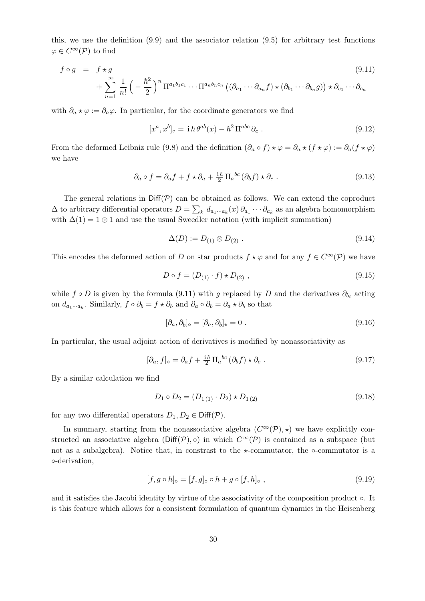this, we use the definition [\(9.9\)](#page-28-0) and the associator relation [\(9.5\)](#page-28-1) for arbitrary test functions  $\varphi \in C^{\infty}(\mathcal{P})$  to find

<span id="page-29-0"></span>
$$
f \circ g = f \star g
$$
\n
$$
+ \sum_{n=1}^{\infty} \frac{1}{n!} \left( - \frac{\hbar^2}{2} \right)^n \Pi^{a_1 b_1 c_1} \cdots \Pi^{a_n b_n c_n} \left( (\partial_{a_1} \cdots \partial_{a_n} f) \star (\partial_{b_1} \cdots \partial_{b_n} g) \right) \star \partial_{c_1} \cdots \partial_{c_n}
$$
\n
$$
(9.11)
$$

with  $\partial_a \star \varphi := \partial_a \varphi$ . In particular, for the coordinate generators we find

$$
[x^a, x^b]_\circ = \mathrm{i}\,\hbar\,\theta^{ab}(x) - \hbar^2\,\Pi^{abc}\,\partial_c\,. \tag{9.12}
$$

From the deformed Leibniz rule [\(9.8\)](#page-28-2) and the definition  $(\partial_a \circ f) \star \varphi = \partial_a \star (f \star \varphi) := \partial_a (f \star \varphi)$ we have

$$
\partial_a \circ f = \partial_a f + f \star \partial_a + \frac{i\hbar}{2} \Pi_a{}^{bc} (\partial_b f) \star \partial_c . \tag{9.13}
$$

The general relations in  $\text{Diff}(\mathcal{P})$  can be obtained as follows. We can extend the coproduct  $\Delta$  to arbitrary differential operators  $D = \sum_k d_{a_1\cdots a_k}(x) \partial_{a_1} \cdots \partial_{a_k}$  as an algebra homomorphism with  $\Delta(1) = 1 \otimes 1$  and use the usual Sweedler notation (with implicit summation)

$$
\Delta(D) := D_{(1)} \otimes D_{(2)} . \tag{9.14}
$$

This encodes the deformed action of D on star products  $f \star \varphi$  and for any  $f \in C^{\infty}(\mathcal{P})$  we have

$$
D \circ f = (D_{(1)} \cdot f) \star D_{(2)} , \qquad (9.15)
$$

while  $f \circ D$  is given by the formula [\(9.11\)](#page-29-0) with g replaced by D and the derivatives  $\partial_{b_i}$  acting on  $d_{a_1\cdots a_k}$ . Similarly,  $f \circ \partial_b = f \star \partial_b$  and  $\partial_a \circ \partial_b = \partial_a \star \partial_b$  so that

$$
[\partial_a, \partial_b]_{\circ} = [\partial_a, \partial_b]_{\star} = 0. \qquad (9.16)
$$

In particular, the usual adjoint action of derivatives is modified by nonassociativity as

$$
[\partial_a, f]_{\circ} = \partial_a f + \frac{\mathrm{i}\hbar}{2} \Pi_a{}^{bc} (\partial_b f) \star \partial_c . \tag{9.17}
$$

By a similar calculation we find

$$
D_1 \circ D_2 = (D_{1(1)} \cdot D_2) \star D_{1(2)} \tag{9.18}
$$

for any two differential operators  $D_1, D_2 \in \text{Diff}(\mathcal{P})$ .

In summary, starting from the nonassociative algebra  $(C^{\infty}(\mathcal{P}), \star)$  we have explicitly constructed an associative algebra (Diff(P),  $\circ$ ) in which  $C^{\infty}(\mathcal{P})$  is contained as a subspace (but not as a subalgebra). Notice that, in constrast to the  $\star$ -commutator, the  $\circ$ -commutator is a ◦-derivation,

$$
[f, g \circ h]_{\circ} = [f, g]_{\circ} \circ h + g \circ [f, h]_{\circ} , \qquad (9.19)
$$

and it satisfies the Jacobi identity by virtue of the associativity of the composition product  $\circ$ . It is this feature which allows for a consistent formulation of quantum dynamics in the Heisenberg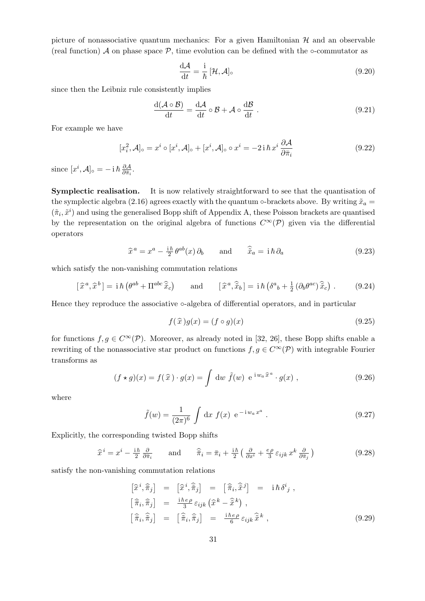picture of nonassociative quantum mechanics: For a given Hamiltonian  $H$  and an observable (real function) A on phase space  $\mathcal{P}$ , time evolution can be defined with the  $\circ$ -commutator as

$$
\frac{\mathrm{d}\mathcal{A}}{\mathrm{d}t} = \frac{\mathrm{i}}{\hbar} \left[ \mathcal{H}, \mathcal{A} \right]_{\circ} \tag{9.20}
$$

since then the Leibniz rule consistently implies

$$
\frac{\mathrm{d}(\mathcal{A}\circ\mathcal{B})}{\mathrm{d}t} = \frac{\mathrm{d}\mathcal{A}}{\mathrm{d}t} \circ \mathcal{B} + \mathcal{A} \circ \frac{\mathrm{d}\mathcal{B}}{\mathrm{d}t} . \tag{9.21}
$$

For example we have

$$
[x_i^2, \mathcal{A}]_{\circ} = x^i \circ [x^i, \mathcal{A}]_{\circ} + [x^i, \mathcal{A}]_{\circ} \circ x^i = -2i \hbar x^i \frac{\partial \mathcal{A}}{\partial \bar{\pi}_i}
$$
(9.22)

since  $[x^i, \mathcal{A}]_{\circ} = -i \hbar \frac{\partial \mathcal{A}}{\partial \bar{\pi}_i}$  $\frac{\partial \mathcal{A}}{\partial \bar\pi_i}.$ 

Symplectic realisation. It is now relatively straightforward to see that the quantisation of the symplectic algebra [\(2.16\)](#page-6-4) agrees exactly with the quantum  $\circ$ -brackets above. By writing  $\tilde{x}_a =$  $(\tilde{\pi}_i, \tilde{x}^i)$  and using the generalised Bopp shift of Appendix [A,](#page-32-0) these Poisson brackets are quantised by the representation on the original algebra of functions  $C^{\infty}(\mathcal{P})$  given via the differential operators

$$
\hat{x}^a = x^a - \frac{\mathrm{i}\hbar}{2} \theta^{ab}(x) \partial_b \quad \text{and} \quad \hat{\tilde{x}}_a = \mathrm{i}\hbar \partial_a \tag{9.23}
$$

which satisfy the non-vanishing commutation relations

$$
[\hat{x}^a, \hat{x}^b] = i\hbar \left(\theta^{ab} + \Pi^{abc} \hat{\tilde{x}}_c\right) \quad \text{and} \quad [\hat{x}^a, \hat{\tilde{x}}_b] = i\hbar \left(\delta^a{}_b + \frac{1}{2} \left(\partial_b \theta^{ac}\right) \hat{\tilde{x}}_c\right). \tag{9.24}
$$

Hence they reproduce the associative ∘-algebra of differential operators, and in particular

$$
f(\hat{x})g(x) = (f \circ g)(x) \tag{9.25}
$$

for functions  $f, g \in C^{\infty}(\mathcal{P})$ . Moreover, as already noted in [\[32,](#page-37-2) [26\]](#page-36-5), these Bopp shifts enable a rewriting of the nonassociative star product on functions  $f, g \in C^{\infty}(\mathcal{P})$  with integrable Fourier transforms as

$$
(f \star g)(x) = f(\hat{x}) \cdot g(x) = \int \mathrm{d}w \; \tilde{f}(w) \; \mathrm{e}^{\mathrm{i} w_a \hat{x}^a} \cdot g(x) \; , \tag{9.26}
$$

where

$$
\tilde{f}(w) = \frac{1}{(2\pi)^6} \int dx f(x) e^{-i w_a x^a}.
$$
\n(9.27)

Explicitly, the corresponding twisted Bopp shifts

<span id="page-30-0"></span>
$$
\hat{x}^{i} = x^{i} - \frac{\mathrm{i}\hbar}{2} \frac{\partial}{\partial \bar{\pi}_{i}} \quad \text{and} \quad \hat{\bar{\pi}}_{i} = \bar{\pi}_{i} + \frac{\mathrm{i}\hbar}{2} \left( \frac{\partial}{\partial x^{i}} + \frac{e\rho}{3} \varepsilon_{ijk} x^{k} \frac{\partial}{\partial \bar{\pi}_{j}} \right) \tag{9.28}
$$

satisfy the non-vanishing commutation relations

$$
\begin{array}{rcl}\n[\hat{x}^i, \hat{\overline{\pi}}_j] & = & [\hat{x}^i, \hat{\overline{\pi}}_j] \\
[\hat{\overline{\pi}}_i, \hat{\overline{\pi}}_j] & = & [\hat{\overline{\pi}}_i, \hat{\overline{x}}^j] \\
[\hat{\overline{\pi}}_i, \hat{\overline{\pi}}_j] & = & \frac{\text{i} \hbar e \rho}{3} \varepsilon_{ijk} \left( \hat{x}^k - \hat{\overline{x}}^k \right), \\
[\hat{\overline{\pi}}_i, \hat{\overline{\pi}}_j] & = & [\hat{\overline{\pi}}_i, \hat{\overline{\pi}}_j] \\
[\hat{\overline{\pi}}_i, \hat{\overline{\pi}}_j] & = & \frac{\text{i} \hbar e \rho}{6} \varepsilon_{ijk} \hat{\overline{x}}^k,\n\end{array} \tag{9.29}
$$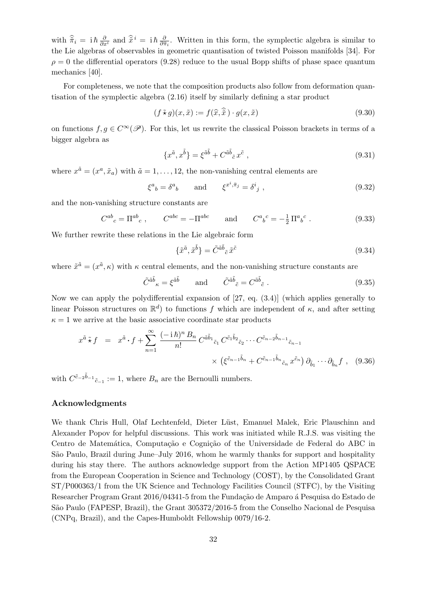with  $\hat{\tilde{\pi}}_i = \mathrm{i} \hbar \frac{\partial}{\partial x^i}$  and  $\hat{\tilde{x}}^i = \mathrm{i} \hbar \frac{\partial}{\partial \bar{\pi}}$  $\frac{\partial}{\partial \bar{\pi}_i}$ . Written in this form, the symplectic algebra is similar to the Lie algebras of observables in geometric quantisation of twisted Poisson manifolds [\[34\]](#page-37-10). For  $\rho = 0$  the differential operators [\(9.28\)](#page-30-0) reduce to the usual Bopp shifts of phase space quantum mechanics [\[40\]](#page-37-9).

For completeness, we note that the composition products also follow from deformation quantisation of the symplectic algebra [\(2.16\)](#page-6-4) itself by similarly defining a star product

$$
(f \tilde{\star} g)(x, \tilde{x}) := f(\hat{x}, \hat{\tilde{x}}) \cdot g(x, \tilde{x}) \tag{9.30}
$$

on functions  $f, g \in C^{\infty}(\mathscr{P})$ . For this, let us rewrite the classical Poisson brackets in terms of a bigger algebra as

$$
\{x^{\tilde{a}},x^{\tilde{b}}\} = \xi^{\tilde{a}\tilde{b}} + C^{\tilde{a}\tilde{b}}\tilde{c}x^{\tilde{c}}\,,\tag{9.31}
$$

where  $x^{\tilde{a}} = (x^a, \tilde{x}_a)$  with  $\tilde{a} = 1, \ldots, 12$ , the non-vanishing central elements are

$$
\xi^a{}_b = \delta^a{}_b \qquad \text{and} \qquad \xi^{x^i, \bar{\pi}_j} = \delta^i{}_j \tag{9.32}
$$

and the non-vanishing structure constants are

$$
C^{ab}_{c} = \Pi^{ab}_{c}
$$
,  $C^{abc} = -\Pi^{abc}$  and  $C^{a}_{b}{}^{c} = -\frac{1}{2} \Pi^{a}_{b}{}^{c}$ . (9.33)

We further rewrite these relations in the Lie algebraic form

$$
\{\tilde{x}^{\tilde{a}}, \tilde{x}^{\tilde{b}}\} = \tilde{C}^{\tilde{a}\tilde{b}}{}_{\tilde{c}}\tilde{x}^{\tilde{c}}\tag{9.34}
$$

where  $\tilde{x}^{\tilde{a}} = (x^{\tilde{a}}, \kappa)$  with  $\kappa$  central elements, and the non-vanishing structure constants are

$$
\tilde{C}^{\tilde{a}\tilde{b}}{}_{\kappa} = \xi^{\tilde{a}\tilde{b}} \qquad \text{and} \qquad \tilde{C}^{\tilde{a}\tilde{b}}{}_{\tilde{c}} = C^{\tilde{a}\tilde{b}}{}_{\tilde{c}} . \tag{9.35}
$$

Now we can apply the polydifferential expansion of [\[27,](#page-36-15) eq. (3.4)] (which applies generally to linear Poisson structures on  $\mathbb{R}^d$  to functions f which are independent of  $\kappa$ , and after setting  $\kappa = 1$  we arrive at the basic associative coordinate star products

$$
x^{\tilde{a}} \tilde{\star} f = x^{\tilde{a}} \cdot f + \sum_{n=1}^{\infty} \frac{(-i\hbar)^n B_n}{n!} C^{\tilde{a}\tilde{b}_1} \tilde{c}_1 C^{\tilde{c}_1 \tilde{b}_2} \tilde{c}_2 \cdots C^{\tilde{c}_{n-2} \tilde{b}_{n-1}} \tilde{c}_{n-1} \times \left( \xi^{\tilde{c}_{n-1} \tilde{b}_n} + C^{\tilde{c}_{n-1} \tilde{b}_n} \tilde{c}_n x^{\tilde{c}_n} \right) \partial_{\tilde{b}_1} \cdots \partial_{\tilde{b}_n} f , \quad (9.36)
$$

with  $C^{\tilde{c}-2\tilde{b}-1}$ ,  $\tilde{c}_{-1}$  := 1, where  $B_n$  are the Bernoulli numbers.

#### Acknowledgments

We thank Chris Hull, Olaf Lechtenfeld, Dieter Lüst, Emanuel Malek, Eric Plauschinn and Alexander Popov for helpful discussions. This work was initiated while R.J.S. was visiting the Centro de Matemática, Computação e Cognição of the Universidade de Federal do ABC in S˜ao Paulo, Brazil during June–July 2016, whom he warmly thanks for support and hospitality during his stay there. The authors acknowledge support from the Action MP1405 QSPACE from the European Cooperation in Science and Technology (COST), by the Consolidated Grant ST/P000363/1 from the UK Science and Technology Facilities Council (STFC), by the Visiting Researcher Program Grant 2016/04341-5 from the Fundação de Amparo á Pesquisa do Estado de São Paulo (FAPESP, Brazil), the Grant 305372/2016-5 from the Conselho Nacional de Pesquisa (CNPq, Brazil), and the Capes-Humboldt Fellowship 0079/16-2.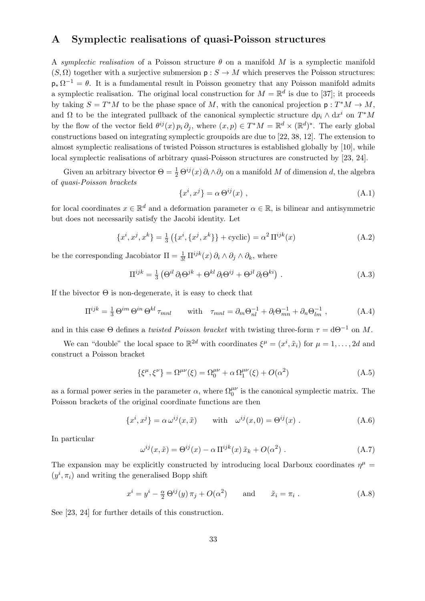# <span id="page-32-0"></span>A Symplectic realisations of quasi-Poisson structures

A symplectic realisation of a Poisson structure  $\theta$  on a manifold M is a symplectic manifold  $(S, \Omega)$  together with a surjective submersion  $p : S \to M$  which preserves the Poisson structures:  $p_* \Omega^{-1} = \theta$ . It is a fundamental result in Poisson geometry that any Poisson manifold admits a symplectic realisation. The original local construction for  $M = \mathbb{R}^d$  is due to [\[37\]](#page-37-3); it proceeds by taking  $S = T^*M$  to be the phase space of M, with the canonical projection  $p: T^*M \to M$ , and  $\Omega$  to be the integrated pullback of the canonical symplectic structure  $dp_i \wedge dx^i$  on  $T^*M$ by the flow of the vector field  $\theta^{ij}(x) p_i \partial_j$ , where  $(x, p) \in T^*M = \mathbb{R}^d \times (\mathbb{R}^d)^*$ . The early global constructions based on integrating symplectic groupoids are due to [\[22,](#page-36-6) [38,](#page-37-4) [12\]](#page-36-7). The extension to almost symplectic realisations of twisted Poisson structures is established globally by [\[10\]](#page-35-6), while local symplectic realisations of arbitrary quasi-Poisson structures are constructed by [\[23,](#page-36-16) [24\]](#page-36-17).

Given an arbitrary bivector  $\Theta = \frac{1}{2} \Theta^{ij}(x) \partial_i \wedge \partial_j$  on a manifold M of dimension d, the algebra of quasi-Poisson brackets

$$
\{x^i, x^j\} = \alpha \Theta^{ij}(x) , \qquad (A.1)
$$

for local coordinates  $x \in \mathbb{R}^d$  and a deformation parameter  $\alpha \in \mathbb{R}$ , is bilinear and antisymmetric but does not necessarily satisfy the Jacobi identity. Let

$$
\{x^{i}, x^{j}, x^{k}\} = \frac{1}{3} \left( \{x^{i}, \{x^{j}, x^{k}\}\} + \text{cyclic}\right) = \alpha^{2} \Pi^{ijk}(x)
$$
 (A.2)

be the corresponding Jacobiator  $\Pi = \frac{1}{3!} \Pi^{ijk}(x) \partial_i \wedge \partial_j \wedge \partial_k$ , where

$$
\Pi^{ijk} = \frac{1}{3} \left( \Theta^{il} \, \partial_l \Theta^{jk} + \Theta^{kl} \, \partial_l \Theta^{ij} + \Theta^{jl} \, \partial_l \Theta^{ki} \right) . \tag{A.3}
$$

If the bivector  $\Theta$  is non-degenerate, it is easy to check that

$$
\Pi^{ijk} = \frac{1}{3} \Theta^{im} \Theta^{in} \Theta^{kl} \tau_{mnl} \qquad \text{with} \quad \tau_{mnl} = \partial_m \Theta^{-1}_{nl} + \partial_l \Theta^{-1}_{mn} + \partial_n \Theta^{-1}_{lm} , \qquad (A.4)
$$

and in this case Θ defines a *twisted Poisson bracket* with twisting three-form  $\tau = d\Theta^{-1}$  on M.

We can "double" the local space to  $\mathbb{R}^{2d}$  with coordinates  $\xi^{\mu} = (x^{i}, \tilde{x}_{i})$  for  $\mu = 1, \ldots, 2d$  and construct a Poisson bracket

$$
\{\xi^{\mu}, \xi^{\nu}\} = \Omega^{\mu\nu}(\xi) = \Omega_0^{\mu\nu} + \alpha \,\Omega_1^{\mu\nu}(\xi) + O(\alpha^2)
$$
\n(A.5)

as a formal power series in the parameter  $\alpha$ , where  $\Omega_0^{\mu\nu}$  is the canonical symplectic matrix. The Poisson brackets of the original coordinate functions are then

$$
\{x^i, x^j\} = \alpha \,\omega^{ij}(x, \tilde{x}) \qquad \text{with} \quad \omega^{ij}(x, 0) = \Theta^{ij}(x) \ . \tag{A.6}
$$

In particular

$$
\omega^{ij}(x,\tilde{x}) = \Theta^{ij}(x) - \alpha \Pi^{ijk}(x) \tilde{x}_k + O(\alpha^2) . \tag{A.7}
$$

The expansion may be explicitly constructed by introducing local Darboux coordinates  $\eta^{\mu}$  =  $(y^i, \pi_i)$  and writing the generalised Bopp shift

$$
x^{i} = y^{i} - \frac{\alpha}{2} \Theta^{ij}(y) \pi_{j} + O(\alpha^{2}) \quad \text{and} \quad \tilde{x}_{i} = \pi_{i} . \tag{A.8}
$$

See [\[23,](#page-36-16) [24\]](#page-36-17) for further details of this construction.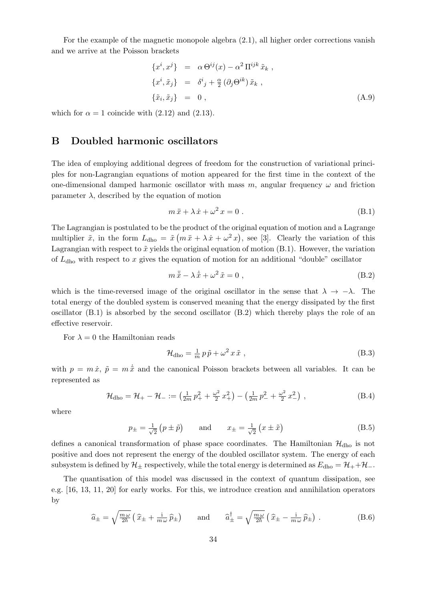For the example of the magnetic monopole algebra [\(2.1\)](#page-4-1), all higher order corrections vanish and we arrive at the Poisson brackets

$$
\begin{aligned}\n\{x^i, x^j\} &= \alpha \Theta^{ij}(x) - \alpha^2 \Pi^{ijk} \tilde{x}_k ,\\
\{x^i, \tilde{x}_j\} &= \delta^i{}_j + \frac{\alpha}{2} (\partial_j \Theta^{ik}) \tilde{x}_k ,\\
\{\tilde{x}_i, \tilde{x}_j\} &= 0 ,\n\end{aligned} \tag{A.9}
$$

which for  $\alpha = 1$  coincide with [\(2.12\)](#page-5-6) and [\(2.13\)](#page-5-2).

# <span id="page-33-0"></span>B Doubled harmonic oscillators

The idea of employing additional degrees of freedom for the construction of variational principles for non-Lagrangian equations of motion appeared for the first time in the context of the one-dimensional damped harmonic oscillator with mass m, angular frequency  $\omega$  and friction parameter  $\lambda$ , described by the equation of motion

<span id="page-33-1"></span>
$$
m\ddot{x} + \lambda \dot{x} + \omega^2 x = 0.
$$
 (B.1)

The Lagrangian is postulated to be the product of the original equation of motion and a Lagrange multiplier  $\tilde{x}$ , in the form  $L_{\text{dho}} = \tilde{x} (m \ddot{x} + \lambda \dot{x} + \omega^2 x)$ , see [\[3\]](#page-35-7). Clearly the variation of this Lagrangian with respect to  $\tilde{x}$  yields the original equation of motion [\(B.1\)](#page-33-1). However, the variation of  $L<sub>dho</sub>$  with respect to x gives the equation of motion for an additional "double" oscillator

<span id="page-33-2"></span>
$$
m\ddot{\tilde{x}} - \lambda \dot{\tilde{x}} + \omega^2 \tilde{x} = 0 , \qquad (B.2)
$$

which is the time-reversed image of the original oscillator in the sense that  $\lambda \to -\lambda$ . The total energy of the doubled system is conserved meaning that the energy dissipated by the first oscillator [\(B.1\)](#page-33-1) is absorbed by the second oscillator [\(B.2\)](#page-33-2) which thereby plays the role of an effective reservoir.

For  $\lambda = 0$  the Hamiltonian reads

$$
\mathcal{H}_{\text{dho}} = \frac{1}{m} p \tilde{p} + \omega^2 x \tilde{x} , \qquad (B.3)
$$

with  $p = m \dot{x}, \tilde{p} = m \dot{\tilde{x}}$  and the canonical Poisson brackets between all variables. It can be represented as

<span id="page-33-4"></span>
$$
\mathcal{H}_{\text{dho}} = \mathcal{H}_{+} - \mathcal{H}_{-} := \left(\frac{1}{2m}p_{+}^{2} + \frac{\omega^{2}}{2}x_{+}^{2}\right) - \left(\frac{1}{2m}p_{-}^{2} + \frac{\omega^{2}}{2}x_{-}^{2}\right),\tag{B.4}
$$

where

$$
p_{\pm} = \frac{1}{\sqrt{2}} \left( p \pm \tilde{p} \right) \quad \text{and} \quad x_{\pm} = \frac{1}{\sqrt{2}} \left( x \pm \tilde{x} \right) \tag{B.5}
$$

defines a canonical transformation of phase space coordinates. The Hamiltonian  $\mathcal{H}_{\text{dho}}$  is not positive and does not represent the energy of the doubled oscillator system. The energy of each subsystem is defined by  $\mathcal{H}_{\pm}$  respectively, while the total energy is determined as  $E_{\text{dho}} = \mathcal{H}_{+} + \mathcal{H}_{-}$ .

The quantisation of this model was discussed in the context of quantum dissipation, see e.g. [\[16,](#page-36-9) [13,](#page-36-10) [11,](#page-36-11) [20\]](#page-36-12) for early works. For this, we introduce creation and annihilation operators by

<span id="page-33-3"></span>
$$
\widehat{a}_{\pm} = \sqrt{\frac{m\,\omega}{2\hbar}} \left( \widehat{x}_{\pm} + \frac{\mathrm{i}}{m\,\omega} \widehat{p}_{\pm} \right) \qquad \text{and} \qquad \widehat{a}_{\pm}^{\dagger} = \sqrt{\frac{m\,\omega}{2\hbar}} \left( \widehat{x}_{\pm} - \frac{\mathrm{i}}{m\,\omega} \widehat{p}_{\pm} \right) \,. \tag{B.6}
$$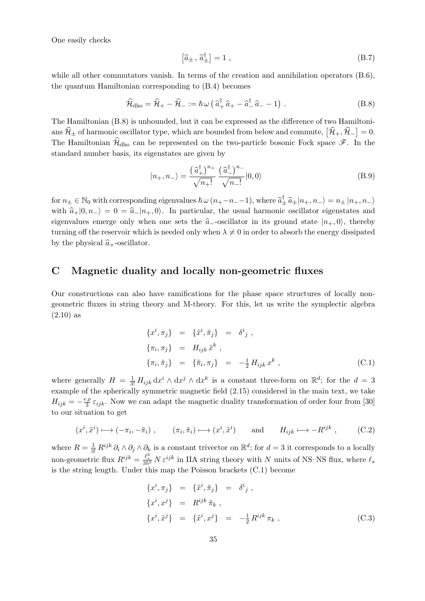One easily checks

$$
\left[\hat{a}_{\pm}, \hat{a}_{\pm}^{\dagger}\right] = 1 \tag{B.7}
$$

while all other commutators vanish. In terms of the creation and annihilation operators  $(B.6)$ , the quantum Hamiltonian corresponding to [\(B.4\)](#page-33-4) becomes

<span id="page-34-1"></span>
$$
\widehat{\mathcal{H}}_{\text{dho}} = \widehat{\mathcal{H}}_{+} - \widehat{\mathcal{H}}_{-} := \hbar \,\omega \left( \widehat{a}_{+}^{\dagger} \,\widehat{a}_{+} - \widehat{a}_{-}^{\dagger} \,\widehat{a}_{-} - 1 \right) \,. \tag{B.8}
$$

The Hamiltonian [\(B.8\)](#page-34-1) is unbounded, but it can be expressed as the difference of two Hamiltonians  $\hat{\mathcal{H}}_{\pm}$  of harmonic oscillator type, which are bounded from below and commute,  $[\hat{\mathcal{H}}_{+}, \hat{\mathcal{H}}_{-}] = 0$ . The Hamiltonian  $\hat{\mathcal{H}}_{\text{dho}}$  can be represented on the two-particle bosonic Fock space  $\mathscr{F}$ . In the standard number basis, its eigenstates are given by

$$
|n_{+},n_{-}\rangle = \frac{\left(\widehat{a}_{+}^{\dagger}\right)^{n_{+}}}{\sqrt{n_{+}!}}\frac{\left(\widehat{a}_{-}^{\dagger}\right)^{n_{-}}}{\sqrt{n_{-}!}}|0,0\rangle\tag{B.9}
$$

for  $n_{\pm} \in \mathbb{N}_0$  with corresponding eigenvalues  $\hbar \omega (n_{+}-n_{-}-1)$ , where  $\hat{a}^{\dagger}_{\pm} \hat{a}_{\pm} |n_{+}, n_{-}\rangle = n_{\pm} |n_{+}, n_{-}\rangle$ with  $\hat{a}_+|0, n_-\rangle = 0 = \hat{a}_-|n_+, 0\rangle$ . In particular, the usual harmonic oscillator eigenstates and eigenvalues emerge only when one sets the  $\hat{a}$ -oscillator in its ground state  $|n_{+}, 0\rangle$ , thereby turning off the reservoir which is needed only when  $\lambda \neq 0$  in order to absorb the energy dissipated by the physical  $\hat{a}_+$ -oscillator.

### <span id="page-34-0"></span>C Magnetic duality and locally non-geometric fluxes

Our constructions can also have ramifications for the phase space structures of locally nongeometric fluxes in string theory and M-theory. For this, let us write the symplectic algebra  $(2.10)$  as

<span id="page-34-2"></span>
$$
\begin{aligned}\n\{x^i, \pi_j\} &= \{\tilde{x}^i, \tilde{\pi}_j\} &= \delta^i{}_j, \\
\{\pi_i, \pi_j\} &= H_{ijk}\tilde{x}^k, \\
\{\pi_i, \tilde{\pi}_j\} &= \{\tilde{\pi}_i, \pi_j\} &= -\frac{1}{2} H_{ijk} x^k,\n\end{aligned} \tag{C.1}
$$

where generally  $H = \frac{1}{3!} H_{ijk} dx^i \wedge dx^j \wedge dx^k$  is a constant three-form on  $\mathbb{R}^d$ ; for the  $d = 3$ example of the spherically symmetric magnetic field [\(2.15\)](#page-6-1) considered in the main text, we take  $H_{ijk} = -\frac{e\rho}{3}$  $\frac{e\rho}{3}\varepsilon_{ijk}$ . Now we can adapt the magnetic duality transformation of order four from [\[30\]](#page-36-3) to our situation to get

$$
(x^i, \tilde{x}^i) \longmapsto (-\pi_i, -\tilde{\pi}_i) , \qquad (\pi_i, \tilde{\pi}_i) \longmapsto (x^i, \tilde{x}^i) \qquad \text{and} \qquad H_{ijk} \longmapsto -R^{ijk} , \qquad (C.2)
$$

where  $R = \frac{1}{3!} R^{ijk} \partial_i \wedge \partial_j \wedge \partial_k$  is a constant trivector on  $\mathbb{R}^d$ ; for  $d = 3$  it corresponds to a locally non-geometric flux  $R^{ijk} = \frac{\ell_s^3}{3\hbar^2} N \varepsilon^{ijk}$  in IIA string theory with N units of NS–NS flux, where  $\ell_s$ is the string length. Under this map the Poisson brackets [\(C.1\)](#page-34-2) become

<span id="page-34-3"></span>
$$
\begin{aligned}\n\{x^i, \pi_j\} &= \{\tilde{x}^i, \tilde{\pi}_j\} &= \delta^i{}_j, \\
\{x^i, x^j\} &= R^{ijk} \tilde{\pi}_k, \\
\{x^i, \tilde{x}^j\} &= \{\tilde{x}^i, x^j\} &= -\frac{1}{2} R^{ijk} \pi_k,\n\end{aligned} \tag{C.3}
$$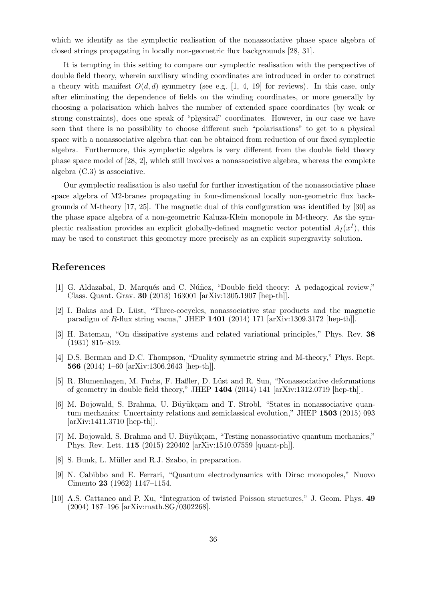which we identify as the symplectic realisation of the nonassociative phase space algebra of closed strings propagating in locally non-geometric flux backgrounds [\[28,](#page-36-8) [31\]](#page-36-4).

It is tempting in this setting to compare our symplectic realisation with the perspective of double field theory, wherein auxiliary winding coordinates are introduced in order to construct a theory with manifest  $O(d, d)$  symmetry (see e.g. [\[1,](#page-35-8) [4,](#page-35-9) [19\]](#page-36-18) for reviews). In this case, only after eliminating the dependence of fields on the winding coordinates, or more generally by choosing a polarisation which halves the number of extended space coordinates (by weak or strong constraints), does one speak of "physical" coordinates. However, in our case we have seen that there is no possibility to choose different such "polarisations" to get to a physical space with a nonassociative algebra that can be obtained from reduction of our fixed symplectic algebra. Furthermore, this symplectic algebra is very different from the double field theory phase space model of [\[28,](#page-36-8) [2\]](#page-35-0), which still involves a nonassociative algebra, whereas the complete algebra [\(C.3\)](#page-34-3) is associative.

Our symplectic realisation is also useful for further investigation of the nonassociative phase space algebra of M2-branes propagating in four-dimensional locally non-geometric flux backgrounds of M-theory [\[17,](#page-36-19) [25\]](#page-36-20). The magnetic dual of this configuration was identified by [\[30\]](#page-36-3) as the phase space algebra of a non-geometric Kaluza-Klein monopole in M-theory. As the symplectic realisation provides an explicit globally-defined magnetic vector potential  $A_I(x^I)$ , this may be used to construct this geometry more precisely as an explicit supergravity solution.

#### References

- <span id="page-35-8"></span>[1] G. Aldazabal, D. Marqués and C. Núñez, "Double field theory: A pedagogical review," Class. Quant. Grav. 30 (2013) 163001 [\[arXiv:1305.1907](http://arxiv.org/abs/1305.1907) [hep-th]].
- <span id="page-35-0"></span>[2] I. Bakas and D. L¨ust, "Three-cocycles, nonassociative star products and the magnetic paradigm of R-flux string vacua," JHEP 1401 (2014) 171 [\[arXiv:1309.3172](http://arxiv.org/abs/1309.3172) [hep-th]].
- <span id="page-35-7"></span>[3] H. Bateman, "On dissipative systems and related variational principles," Phys. Rev. 38 (1931) 815–819.
- <span id="page-35-9"></span>[4] D.S. Berman and D.C. Thompson, "Duality symmetric string and M-theory," Phys. Rept. 566 (2014) 1–60 [\[arXiv:1306.2643](http://arxiv.org/abs/1306.2643) [hep-th]].
- <span id="page-35-1"></span>[5] R. Blumenhagen, M. Fuchs, F. Haßler, D. Lüst and R. Sun, "Nonassociative deformations of geometry in double field theory," JHEP 1404 (2014) 141 [\[arXiv:1312.0719](http://arxiv.org/abs/1312.0719) [hep-th]].
- <span id="page-35-2"></span>[6] M. Bojowald, S. Brahma, U. Büyükçam and T. Strobl, "States in nonassociative quantum mechanics: Uncertainty relations and semiclassical evolution," JHEP 1503 (2015) 093 [\[arXiv:1411.3710](http://arxiv.org/abs/1411.3710) [hep-th]].
- <span id="page-35-3"></span>[7] M. Bojowald, S. Brahma and U. Büyükçam, "Testing nonassociative quantum mechanics," Phys. Rev. Lett. 115 (2015) 220402 [\[arXiv:1510.07559](http://arxiv.org/abs/1510.07559) [quant-ph]].
- <span id="page-35-5"></span>[8] S. Bunk, L. Müller and R.J. Szabo, in preparation.
- <span id="page-35-4"></span>[9] N. Cabibbo and E. Ferrari, "Quantum electrodynamics with Dirac monopoles," Nuovo Cimento 23 (1962) 1147–1154.
- <span id="page-35-6"></span>[10] A.S. Cattaneo and P. Xu, "Integration of twisted Poisson structures," J. Geom. Phys. 49 (2004) 187–196 [\[arXiv:math.SG/0302268\]](http://arxiv.org/abs/math/0302268).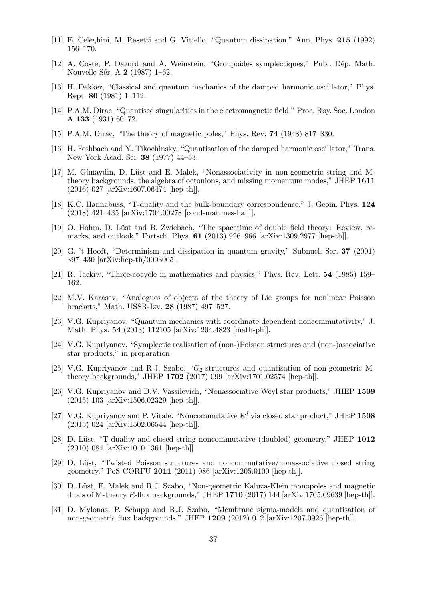- <span id="page-36-11"></span>[11] E. Celeghini, M. Rasetti and G. Vitiello, "Quantum dissipation," Ann. Phys. 215 (1992) 156–170.
- <span id="page-36-7"></span>[12] A. Coste, P. Dazord and A. Weinstein, "Groupoides symplectiques," Publ. Dép. Math. Nouvelle Sér. A  $2$  (1987) 1–62.
- <span id="page-36-10"></span>[13] H. Dekker, "Classical and quantum mechanics of the damped harmonic oscillator," Phys. Rept. 80 (1981) 1–112.
- <span id="page-36-0"></span>[14] P.A.M. Dirac, "Quantised singularities in the electromagnetic field," Proc. Roy. Soc. London A 133 (1931) 60–72.
- <span id="page-36-1"></span>[15] P.A.M. Dirac, "The theory of magnetic poles," Phys. Rev. 74 (1948) 817–830.
- <span id="page-36-9"></span>[16] H. Feshbach and Y. Tikochinsky, "Quantisation of the damped harmonic oscillator," Trans. New York Acad. Sci. 38 (1977) 44–53.
- <span id="page-36-19"></span>[17] M. Günaydin, D. Lüst and E. Malek, "Nonassociativity in non-geometric string and Mtheory backgrounds, the algebra of octonions, and missing momentum modes," JHEP 1611 (2016) 027 [\[arXiv:1607.06474](http://arxiv.org/abs/1607.06474) [hep-th]].
- <span id="page-36-14"></span>[18] K.C. Hannabuss, "T-duality and the bulk-boundary correspondence," J. Geom. Phys. 124 (2018) 421–435 [\[arXiv:1704.00278](http://arxiv.org/abs/1704.00278) [cond-mat.mes-hall]].
- <span id="page-36-18"></span>[19] O. Hohm, D. Lüst and B. Zwiebach, "The spacetime of double field theory: Review, remarks, and outlook," Fortsch. Phys. 61 (2013) 926–966 [\[arXiv:1309.2977](http://arxiv.org/abs/1309.2977) [hep-th]].
- <span id="page-36-12"></span>[20] G. 't Hooft, "Determinism and dissipation in quantum gravity," Subnucl. Ser. 37 (2001) 397–430 [\[arXiv:hep-th/0003005\]](http://arxiv.org/abs/hep-th/0003005).
- <span id="page-36-13"></span>[21] R. Jackiw, "Three-cocycle in mathematics and physics," Phys. Rev. Lett. 54 (1985) 159– 162.
- <span id="page-36-6"></span>[22] M.V. Karasev, "Analogues of objects of the theory of Lie groups for nonlinear Poisson brackets," Math. USSR-Izv. 28 (1987) 497–527.
- <span id="page-36-16"></span>[23] V.G. Kupriyanov, "Quantum mechanics with coordinate dependent noncommutativity," J. Math. Phys. 54 (2013) 112105 [\[arXiv:1204.4823](http://arxiv.org/abs/1204.4823) [math-ph]].
- <span id="page-36-17"></span>[24] V.G. Kupriyanov, "Symplectic realisation of (non-)Poisson structures and (non-)associative star products," in preparation.
- <span id="page-36-20"></span>[25] V.G. Kupriyanov and R.J. Szabo, " $G_2$ -structures and quantisation of non-geometric Mtheory backgrounds," JHEP 1702 (2017) 099 [\[arXiv:1701.02574](http://arxiv.org/abs/1701.02574) [hep-th]].
- <span id="page-36-5"></span>[26] V.G. Kupriyanov and D.V. Vassilevich, "Nonassociative Weyl star products," JHEP 1509 (2015) 103 [\[arXiv:1506.02329](http://arxiv.org/abs/1506.02329) [hep-th]].
- <span id="page-36-15"></span>[27] V.G. Kupriyanov and P. Vitale, "Noncommutative  $\mathbb{R}^d$  via closed star product," JHEP 1508 (2015) 024 [\[arXiv:1502.06544](http://arxiv.org/abs/1502.06544) [hep-th]].
- <span id="page-36-8"></span>[28] D. Lüst, "T-duality and closed string noncommutative (doubled) geometry," JHEP 1012 (2010) 084 [\[arXiv:1010.1361](http://arxiv.org/abs/1010.1361) [hep-th]].
- <span id="page-36-2"></span>[29] D. Lüst, "Twisted Poisson structures and noncommutative/nonassociative closed string geometry," PoS CORFU 2011 (2011) 086 [\[arXiv:1205.0100](http://arxiv.org/abs/1205.0100) [hep-th]].
- <span id="page-36-3"></span>[30] D. Lüst, E. Malek and R.J. Szabo, "Non-geometric Kaluza-Klein monopoles and magnetic duals of M-theory R-flux backgrounds," JHEP 1710 (2017) 144 [\[arXiv:1705.09639](http://arxiv.org/abs/1705.09639) [hep-th]].
- <span id="page-36-4"></span>[31] D. Mylonas, P. Schupp and R.J. Szabo, "Membrane sigma-models and quantisation of non-geometric flux backgrounds," JHEP 1209 (2012) 012 [\[arXiv:1207.0926](http://arxiv.org/abs/1207.0926) [hep-th]].